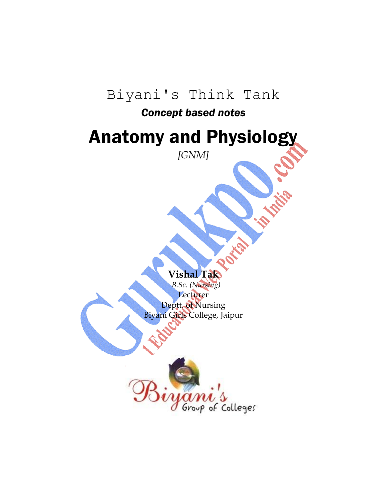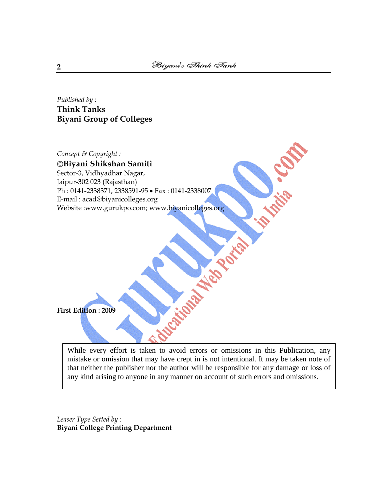# *Published by :* **Think Tanks Biyani Group of Colleges**

*Concept & Copyright :* **Biyani Shikshan Samiti** E. C. Sector-3, Vidhyadhar Nagar, Jaipur-302 023 (Rajasthan) Ph: 0141-2338371, 2338591-95 • Fax: 0141-2338007 E-mail : acad@biyanicolleges.org Website :www.gurukpo.com; www.biyanicolleges.org Nov Orto

**First Edition : 2009**

While every effort is taken to avoid errors or omissions in this Publication, any mistake or omission that may have crept in is not intentional. It may be taken note of that neither the publisher nor the author will be responsible for any damage or loss of any kind arising to anyone in any manner on account of such errors and omissions.

*Leaser Type Setted by :* **Biyani College Printing Department**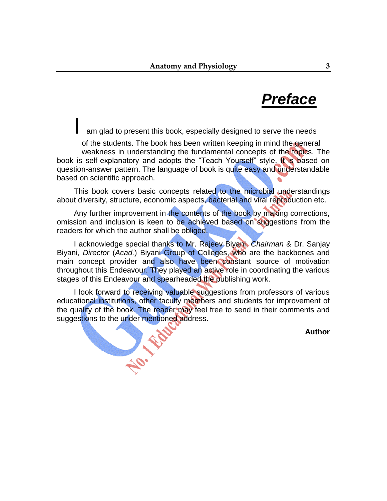# *Preface*

am glad to present this book, especially designed to serve the needs

of the students. The book has been written keeping in mind the general weakness in understanding the fundamental concepts of the topics. The book is self-explanatory and adopts the "Teach Yourself" style. It is based on question-answer pattern. The language of book is quite easy and understandable based on scientific approach.

This book covers basic concepts related to the microbial understandings about diversity, structure, economic aspects, bacterial and viral reproduction etc.

Any further improvement in the contents of the book by making corrections, omission and inclusion is keen to be achieved based on suggestions from the readers for which the author shall be obliged.

I acknowledge special thanks to Mr. Rajeev Biyani, *Chairman* & Dr. Sanjay Biyani, *Director* (*Acad.*) Biyani Group of Colleges, who are the backbones and main concept provider and also have been constant source of motivation throughout this Endeavour. They played an active role in coordinating the various stages of this Endeavour and spearheaded the publishing work.

I look forward to receiving valuable suggestions from professors of various educational institutions, other faculty members and students for improvement of the quality of the book. The reader may feel free to send in their comments and suggestions to the under mentioned address.

**Author**

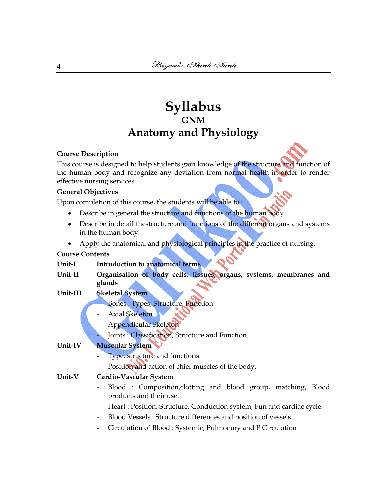# **Syllabus GNM Anatomy and Physiology**

### **Course Description**

This course is designed to help students gain knowledge of the structure and function of the human body and recognize any deviation from normal health in order to render effective nursing services.

### **General Objectives**

Upon completion of this course, the students will be able to :

- Describe in general the structure and functions of the human body.  $\bullet$
- Describe in detail thestructure and functions of the different organs and systems  $\bullet$ in the human body.
- Apply the anatomical and physiological principles in the practice of nursing.  $\bullet$

# **Course Contents**

## **Unit-I Introduction to anatomical terms**

**Unit-II Organisation of body cells, tissues, organs, systems, membranes and glands**

## **Unit-III Skeletal System**

- Bones : Types, Structure, Function
- Axial Skeleton
- Appendicular Skeleton
- Joints : Classification, Structure and Function.

## **Unit-IV Muscular System**

- Type, structure and functions.
- Position and action of chief muscles of the body.

## **Unit-V Cardio-Vascular System**

- Blood : Composition, clotting and blood group, matching, Blood products and their use.
- Heart : Position, Structure, Conduction system, Fun and cardiac cycle.
- Blood Vessels : Structure differences and position of vessels
- Circulation of Blood : Systemic, Pulmonary and P Circulation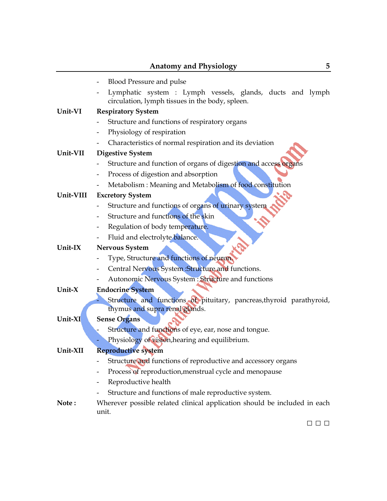|            | <b>Anatomy and Physiology</b><br>5                                                                           |
|------------|--------------------------------------------------------------------------------------------------------------|
|            | <b>Blood Pressure and pulse</b><br>-                                                                         |
|            | Lymphatic system : Lymph vessels, glands, ducts and lymph<br>circulation, lymph tissues in the body, spleen. |
| Unit-VI    | <b>Respiratory System</b>                                                                                    |
|            | Structure and functions of respiratory organs                                                                |
|            | Physiology of respiration                                                                                    |
|            | Characteristics of normal respiration and its deviation                                                      |
| Unit-VII   | <b>Digestive System</b>                                                                                      |
|            | Structure and function of organs of digestion and access organs                                              |
|            | Process of digestion and absorption                                                                          |
|            | Metabolism: Meaning and Metabolism of food constitution                                                      |
| Unit-VIII  | <b>Excretory System</b>                                                                                      |
|            | Structure and functions of organs of urinary system                                                          |
|            | Structure and functions of the skin                                                                          |
|            | Regulation of body temperature.                                                                              |
|            | Fluid and electrolyte balance.                                                                               |
| Unit- $IX$ | <b>Nervous System</b>                                                                                        |
|            | Type, Structure and functions of neuron.                                                                     |
|            | Central Nervous System : Structure and functions.                                                            |
|            | Autonomic Nervous System : Structure and functions                                                           |
| Unit- $X$  | <b>Endocrine System</b>                                                                                      |
|            | Structure and functions of pituitary, pancreas, thyroid parathyroid,                                         |
|            | thymus and supra renal glands.                                                                               |
| Unit-XI    | <b>Sense Organs</b>                                                                                          |
|            | Structure and functions of eye, ear, nose and tongue.                                                        |
|            | Physiology of vision, hearing and equilibrium.                                                               |
| Unit-XII   | <b>Reproductive system</b>                                                                                   |
|            | Structure and functions of reproductive and accessory organs                                                 |
|            | Process of reproduction, menstrual cycle and menopause                                                       |
|            | Reproductive health                                                                                          |
|            | Structure and functions of male reproductive system.                                                         |
| Note:      | Wherever possible related clinical application should be included in each                                    |
|            | unit.                                                                                                        |
|            | $\Box$ $\Box$ $\Box$                                                                                         |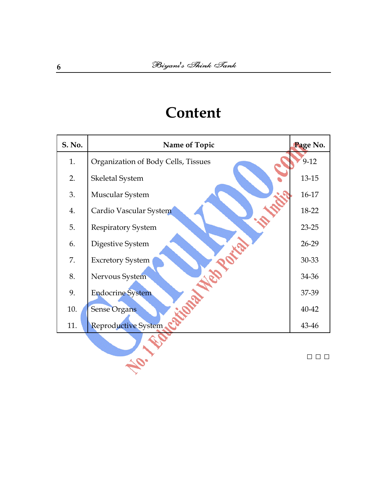# **Content**

| S. No. | Name of Topic                       | Page No.  |
|--------|-------------------------------------|-----------|
| 1.     | Organization of Body Cells, Tissues | $9-12$    |
| 2.     | Skeletal System                     | $13 - 15$ |
| 3.     | Muscular System                     | 16-17     |
| 4.     | Cardio Vascular System              | 18-22     |
| 5.     | <b>Respiratory System</b>           | $23 - 25$ |
| 6.     | Digestive System                    | 26-29     |
| 7.     | <b>Excretory System</b>             | 30-33     |
| 8.     | Nervous System                      | 34-36     |
| 9.     | <b>Endocrine System</b>             | 37-39     |
| 10.    | <b>Sense Organs</b>                 | 40-42     |
| 11.    | <b>Reproductive System</b>          | 43-46     |
|        |                                     |           |
|        |                                     | $\Box$    |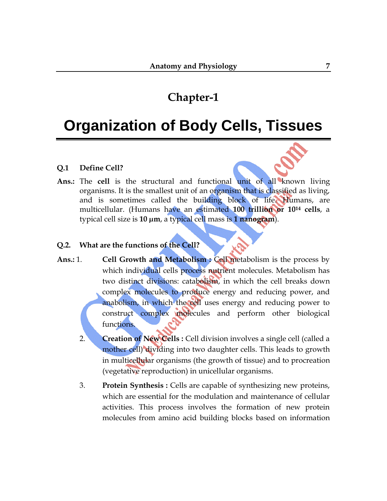# **Organization of Body Cells, Tissues**

### **Q.1 Define Cell?**

**Ans.:** The **cell** is the structural and functional unit of all known [living](http://en.wikipedia.org/wiki/Life) [organisms.](http://en.wikipedia.org/wiki/Organism) It is the smallest unit of an organism that is classified as living, and is sometimes called the building block of life. [Humans,](http://en.wikipedia.org/wiki/Human) are [multicellular.](http://en.wikipedia.org/wiki/Multicellular) (Humans have an estimated **100 trillion or 10<sup>14</sup> cells**, a typical cell size is **10 [µm](http://en.wikipedia.org/wiki/Micrometre)**, a typical cell mass is **1 [nanogram](http://en.wikipedia.org/wiki/Nanogram)**).

### **Q.2. What are the functions of the Cell?**

- Ans.: 1. **Cell Growth and Metabolism : Cell metabolism is the process by** which individual cells process nutrient molecules. Metabolism has two distinct divisions: [catabolism,](http://en.wikipedia.org/wiki/Catabolism) in which the cell breaks down complex molecules to produce energy and reducing power, and [anabolism,](http://en.wikipedia.org/wiki/Anabolism) in which the cell uses energy and reducing power to construct complex molecules and perform other biological functions.
	- 2. **Creation of New Cells :** Cell division involves a single cell (called a mother cell) dividing into two daughter cells. This leads to growth in [multicellular organisms](http://en.wikipedia.org/wiki/Multicellular_organism) (the growth of [tissue\)](http://en.wikipedia.org/wiki/Biological_tissue) and to procreation [\(vegetative reproduction\)](http://en.wikipedia.org/wiki/Vegetative_reproduction) in [unicellular organisms.](http://en.wikipedia.org/wiki/Unicellular_organism)
	- 3. **Protein Synthesis :** Cells are capable of synthesizing new proteins, which are essential for the modulation and maintenance of cellular activities. This process involves the formation of new protein molecules from [amino acid](http://en.wikipedia.org/wiki/Amino_acid) building blocks based on information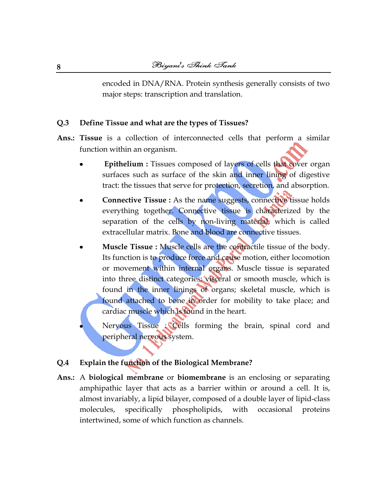encoded in DNA/RNA. Protein synthesis generally consists of two major steps: [transcription](http://en.wikipedia.org/wiki/Transcription_%28genetics%29) and [translation.](http://en.wikipedia.org/wiki/Translation_%28genetics%29)

### **Q.3 Define Tissue and what are the types of Tissues?**

- **Ans.: Tissue** is a collection of interconnected [cells](http://en.wikipedia.org/wiki/Cell_%28biology%29) that perform a similar function within an organism.
	- **[Epithelium](http://en.wikipedia.org/wiki/Epithelium) :** Tissues composed of layers of cells that cover organ surfaces such as surface of the skin and inner lining of digestive tract: the tissues that serve for protection, secretion, and absorption.
	- **[Connective Tissue](http://en.wikipedia.org/wiki/Connective_tissue) :** As the name suggests, connective tissue holds everything together. Connective tissue is characterized by the separation of the cells by non-living material, which is called [extracellular matrix.](http://en.wikipedia.org/wiki/Extracellular_matrix) [Bone](http://en.wikipedia.org/wiki/Osseous_tissue) and [blood](http://en.wikipedia.org/wiki/Blood) are connective tissues.
	- **[Muscle Tissue](http://en.wikipedia.org/wiki/Muscle) :** Muscle cells are the contractile tissue of the body. Its function is to produce force and cause motion, either locomotion or movement within internal organs. Muscle tissue is separated into three distinct categories: visceral or [smooth muscle,](http://en.wikipedia.org/wiki/Smooth_muscle) which is found in the inner linings of organs; [skeletal muscle,](http://en.wikipedia.org/wiki/Skeletal_muscle) which is found attached to bone in order for mobility to take place; and [cardiac muscle](http://en.wikipedia.org/wiki/Cardiac_muscle) which is found in the heart.
		- [Nervous Tissue](http://en.wikipedia.org/wiki/Nervous_tissue) : Cells forming the [brain,](http://en.wikipedia.org/wiki/Brain) [spinal cord](http://en.wikipedia.org/wiki/Spinal_cord) and [peripheral nervous system.](http://en.wikipedia.org/wiki/Peripheral_nervous_system)

#### **Q.4 Explain the function of the Biological Membrane?**

**Ans.:** A **biological membrane** or **biomembrane** is an enclosing or separating [amphipathic](http://en.wikipedia.org/wiki/Amphipathic) layer that acts as a barrier within or around a [cell.](http://en.wikipedia.org/wiki/Cell_%28biology%29) It is, almost invariably, a [lipid bilayer,](http://en.wikipedia.org/wiki/Lipid_bilayer) composed of a double layer of [lipid-](http://en.wikipedia.org/wiki/Lipid)class [molecules,](http://en.wikipedia.org/wiki/Molecules) specifically [phospholipids,](http://en.wikipedia.org/wiki/Phospholipid) with occasional [proteins](http://en.wikipedia.org/wiki/Integral_membrane_protein) intertwined, some of which function as [channels.](http://en.wikipedia.org/wiki/Ion_channel)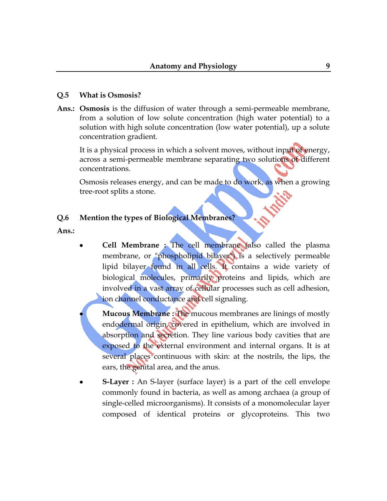### **Q.5 What is Osmosis?**

**Ans.: Osmosis** is the [diffusion](http://en.wikipedia.org/wiki/Diffusion) of water through a [semi-permeable membrane,](http://en.wikipedia.org/wiki/Semipermeable_membrane) from a solution of low solute concentration (high water potential) to a solution with high solute concentration (low water potential), up a solute concentration gradient.

It is a physical process in which a solvent moves, without input of energy, across a semi-permeable membrane separating two solutions of different concentrations.

Osmosis releases energy, and can be made to do work, as when a growing tree-root splits a stone.

### **Q.6 Mention the types of Biological Membranes?**

**Ans.:** 

**[Cell Membrane](http://en.wikipedia.org/wiki/Cell_membrane) :** The cell membrane (also called the plasma membrane, or "phospholipid bilayer") is a [selectively permeable](http://en.wikipedia.org/wiki/Selectively_permeable) [lipid bilayer](http://en.wikipedia.org/wiki/Lipid_bilayer) found in all [cells.](http://en.wikipedia.org/wiki/Cell_%28biology%29) It contains a wide variety of biological [molecules,](http://en.wikipedia.org/wiki/Molecule) primarily [proteins](http://en.wikipedia.org/wiki/Protein) and [lipids,](http://en.wikipedia.org/wiki/Lipids) which are involved in a vast array of cellular processes such as cell adhesion, ion channel conductance and cell signaling.

**[Mucous Membrane](http://en.wikipedia.org/wiki/Mucous_membrane) :** The mucous membranes are linings of mostly [endodermal](http://en.wikipedia.org/wiki/Germ_layer) origin, covered in [epithelium,](http://en.wikipedia.org/wiki/Epithelium) which are involved in [absorption](http://en.wikipedia.org/wiki/Absorption_%28digestive%29) and [secretion.](http://en.wikipedia.org/wiki/Secretion) They line various body cavities that are exposed to the external environment and internal [organs.](http://en.wikipedia.org/wiki/Organ_%28anatomy%29) It is at several places continuous with [skin:](http://en.wikipedia.org/wiki/Skin) at the [nostrils,](http://en.wikipedia.org/wiki/Nostril) the [lips,](http://en.wikipedia.org/wiki/Lip) the [ears,](http://en.wikipedia.org/wiki/Ear) the [genital area,](http://en.wikipedia.org/wiki/Sex_organ) and the [anus.](http://en.wikipedia.org/wiki/Anus)

**[S-Layer](http://en.wikipedia.org/wiki/S-layer) :** An S-layer (surface layer) is a part of the [cell envelope](http://en.wikipedia.org/wiki/Cell_envelope) commonly found in [bacteria,](http://en.wikipedia.org/wiki/Bacteria) as well as among [archaea](http://en.wikipedia.org/wiki/Archaea) (a group of single-celled [microorganisms\)](http://en.wikipedia.org/wiki/Microorganism). It consists of a monomolecular layer composed of identical [proteins](http://en.wikipedia.org/wiki/Proteins) or [glycoproteins.](http://en.wikipedia.org/wiki/Glycoproteins) This two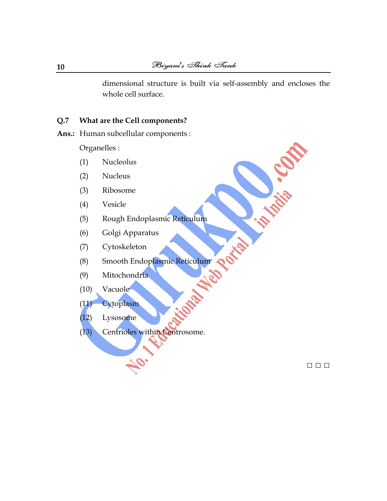dimensional structure is built via [self-assembly](http://en.wikipedia.org/wiki/Self-assembly) and encloses the whole cell surface.

### **Q.7 What are the Cell components?**

**Ans.:** Human subcellular components :

[Organelles](http://en.wikipedia.org/wiki/Organelle) :

- (1) [Nucleolus](http://en.wikipedia.org/wiki/Nucleolus)
- (2) [Nucleus](http://en.wikipedia.org/wiki/Cell_nucleus)
- (3) [Ribosome](http://en.wikipedia.org/wiki/Ribosome)
- (4) [Vesicle](http://en.wikipedia.org/wiki/Vesicle_%28biology%29)
- (5) [Rough Endoplasmic Reticulum](http://en.wikipedia.org/wiki/Rough_endoplasmic_reticulum)
- (6) [Golgi Apparatus](http://en.wikipedia.org/wiki/Golgi_apparatus)
- (7) [Cytoskeleton](http://en.wikipedia.org/wiki/Cytoskeleton)
- (8) [Smooth Endoplasmic Reticulum](http://en.wikipedia.org/wiki/Smooth_endoplasmic_reticulum)
- (9) [Mitochondria](http://en.wikipedia.org/wiki/Mitochondrion)
- (10) [Vacuole](http://en.wikipedia.org/wiki/Vacuole)
- (11) [Cytoplasm](http://en.wikipedia.org/wiki/Cytoplasm)
- (12) [Lysosome](http://en.wikipedia.org/wiki/Lysosome)
- (13) [Centrioles](http://en.wikipedia.org/wiki/Centriole) within [Centrosome.](http://en.wikipedia.org/wiki/Centrosome)

□ □ □

**Traits**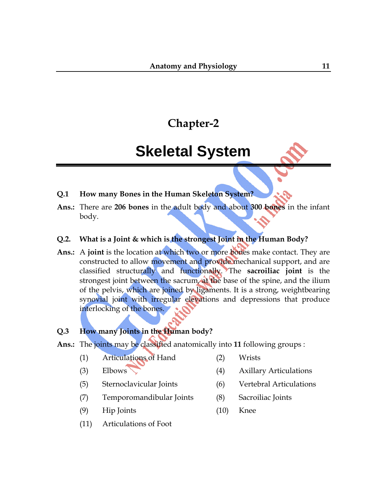# **Skeletal System**

- **Q.1 How many Bones in the Human Skeleton System?**
- **Ans.:** There are **206 bones** in the adult body and about **300 bones** in the infant body.

# **Q.2. What is a Joint & which is the strongest Joint in the Human Body?**

**Ans.:** A **joint** is the location at which two or more [bones](http://en.wikipedia.org/wiki/Bone) make contact. They are constructed to allow movement and provide mechanical support, and are classified structurally and functionally. The **sacroiliac joint** is the strongest [joint](http://en.wikipedia.org/wiki/Joint) between the [sacrum,](http://en.wikipedia.org/wiki/Sacrum) at the base of the [spine,](http://en.wikipedia.org/wiki/Vertebral_column) and the [ilium](http://en.wikipedia.org/wiki/Ilium_%28bone%29) of the [pelvis,](http://en.wikipedia.org/wiki/Pelvis) which are joined by [ligaments.](http://en.wikipedia.org/wiki/Ligaments) It is a strong, weightbearing synovial joint with irregular elevations and depressions that produce interlocking of the bones.

## **Q.3 How many Joints in the Human body?**

- **Ans.:** The joints may be classified anatomically into **11** following groups :
	- (1) [Articulations of Hand](http://en.wikipedia.org/wiki/Articulations_of_hand) (2) [Wrists](http://en.wikipedia.org/wiki/Wrist)
	- (3) [Elbows](http://en.wikipedia.org/wiki/Elbow) (4) [Axillary Articulations](http://en.wikipedia.org/wiki/Axillary_articulations)
	-
	- (7) [Temporomandibular Joints](http://en.wikipedia.org/wiki/Temporomandibular_joint) (8) [Sacroiliac Joints](http://en.wikipedia.org/wiki/Sacroiliac_joint)
	- (9) [Hip Joints](http://en.wikipedia.org/wiki/Hip_joint) (10) [Knee](http://en.wikipedia.org/wiki/Knee)
- -
	- (5) [Sternoclavicular Joints](http://en.wikipedia.org/wiki/Sternoclavicular_joint) (6) [Vertebral Articulations](http://en.wikipedia.org/wiki/Vertebral_articulation)
		-
		-
	- (11) [Articulations of Foot](http://en.wikipedia.org/wiki/Articulations_of_foot)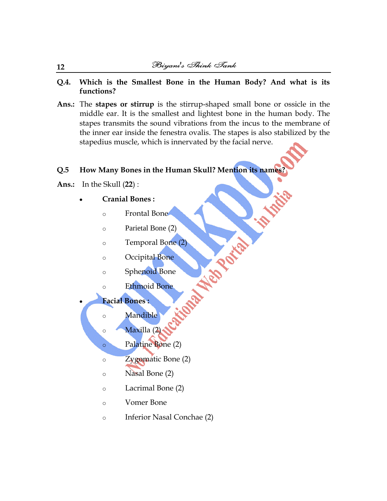- **Q.4. Which is the Smallest Bone in the Human Body? And what is its functions?**
- **Ans.:** The **stapes or stirrup** is the stirrup-shaped small [bone](http://en.wikipedia.org/wiki/Bone) or [ossicle](http://en.wikipedia.org/wiki/Ossicles) in the [middle ear.](http://en.wikipedia.org/wiki/Middle_ear) It is the smallest and lightest bone in the [human body.](http://en.wikipedia.org/wiki/Human_body) The stapes transmits the sound vibrations from the [incus](http://en.wikipedia.org/wiki/Incus) to the membrane of the inner ear inside the [fenestra ovalis.](http://en.wikipedia.org/wiki/Fenestra_ovalis) The stapes is also stabilized by the [stapedius](http://en.wikipedia.org/wiki/Stapedius) muscle, which is innervated by the [facial nerve.](http://en.wikipedia.org/wiki/Facial_nerve)

Wabash R.

# **Q.5 How Many Bones in the Human Skull? Mention its names?**

**Ans.:**In the [Skull](http://en.wikipedia.org/wiki/Skull) (**22**) :

- **Cranial Bones :** 
	- o [Frontal Bone](http://en.wikipedia.org/wiki/Frontal_bone)
	- o [Parietal Bone](http://en.wikipedia.org/wiki/Parietal_bone) (2)
	- o [Temporal Bone](http://en.wikipedia.org/wiki/Temporal_bone) (2)
	- o [Occipital Bone](http://en.wikipedia.org/wiki/Occipital_bone)
	- o [Sphenoid Bone](http://en.wikipedia.org/wiki/Sphenoid_bone)
	- o [Ethmoid Bone](http://en.wikipedia.org/wiki/Ethmoid_bone)

**Facial Bones :** 

o [Mandible](http://en.wikipedia.org/wiki/Mandible)

o [Maxilla](http://en.wikipedia.org/wiki/Maxilla) (2)

- o [Palatine Bone](http://en.wikipedia.org/wiki/Palatine_bone) (2)
- o [Zygomatic Bone](http://en.wikipedia.org/wiki/Zygomatic_bone) (2)
- o [Nasal Bone](http://en.wikipedia.org/wiki/Nasal_bone) (2)
- o [Lacrimal Bone](http://en.wikipedia.org/wiki/Lacrimal_bone) (2)
- o [Vomer](http://en.wikipedia.org/wiki/Vomer_bone) Bone
- o [Inferior Nasal Conchae](http://en.wikipedia.org/wiki/Inferior_nasal_conchae) (2)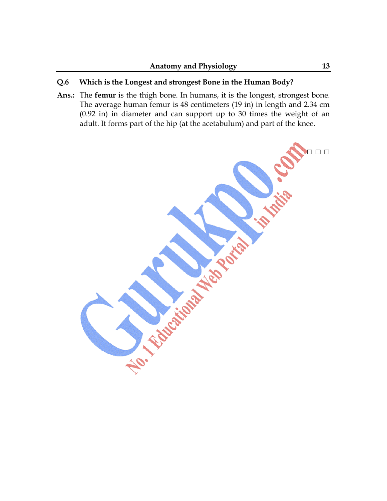# **Q.6 Which is the Longest and strongest Bone in the Human Body?**

**Ans.:** The **femur** is the thigh bone. In [humans,](http://en.wikipedia.org/wiki/Humans) it is the [longest,](http://en.wikipedia.org/wiki/Longest_body_part) strongest [bone.](http://en.wikipedia.org/wiki/Bone) The average human femur is 48 centimeters (19 in) in length and 2.34 cm (0.92 in) in diameter and can support up to 30 times the weight of an adult. It forms part of the [hip](http://en.wikipedia.org/wiki/Hip) (at the acetabulum) and part of the [knee.](http://en.wikipedia.org/wiki/Knee)

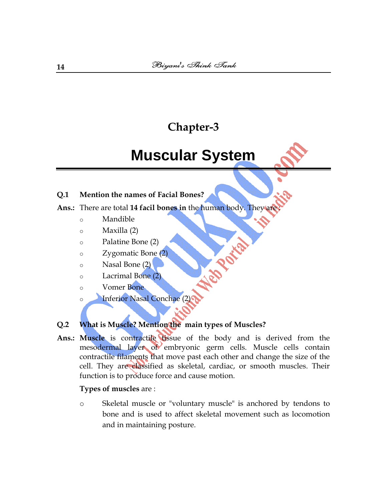# **Muscular System**

# **Q.1 Mention the names of Facial Bones?**

# **Ans.:** There are total **14 facil bones in** the human body. They are :

- o [Mandible](http://en.wikipedia.org/wiki/Mandible)
- o [Maxilla](http://en.wikipedia.org/wiki/Maxilla) (2)
- o [Palatine Bone](http://en.wikipedia.org/wiki/Palatine_bone) (2)
- o [Zygomatic Bone](http://en.wikipedia.org/wiki/Zygomatic_bone) (2)
- o [Nasal Bone](http://en.wikipedia.org/wiki/Nasal_bone) (2)
- o [Lacrimal Bone](http://en.wikipedia.org/wiki/Lacrimal_bone) (2)
- o [Vomer Bone](http://en.wikipedia.org/wiki/Vomer_bone)
- [Inferior Nasal Conchae](http://en.wikipedia.org/wiki/Inferior_nasal_conchae) (2)

# **Q.2 What is Muscle? Mention the main types of Muscles?**

Ans.: Muscle is [contractile](http://en.wikipedia.org/wiki/Muscle_contraction) [tissue](http://en.wikipedia.org/wiki/Tissue_%28biology%29) of the body and is derived from the [mesodermal layer](http://en.wikipedia.org/wiki/Germ_layer) of embryonic germ cells. Muscle cells contain contractile filaments that move past each other and change the size of the cell. They are classified as skeletal, cardiac, or smooth muscles. Their function is to produce [force](http://en.wikipedia.org/wiki/Force) and cause [motion.](http://en.wikipedia.org/wiki/Motion_%28physics%29)

**POLICE DE** 

## **Types of muscles** are :

o [Skeletal muscle](http://en.wikipedia.org/wiki/Skeletal_muscle) or "voluntary muscle" is anchored by [tendons](http://en.wikipedia.org/wiki/Tendons) to [bone](http://en.wikipedia.org/wiki/Bone) and is used to affect [skeletal](http://en.wikipedia.org/wiki/Skeleton) movement such as [locomotion](http://en.wikipedia.org/wiki/Locomotion) and in maintaining posture.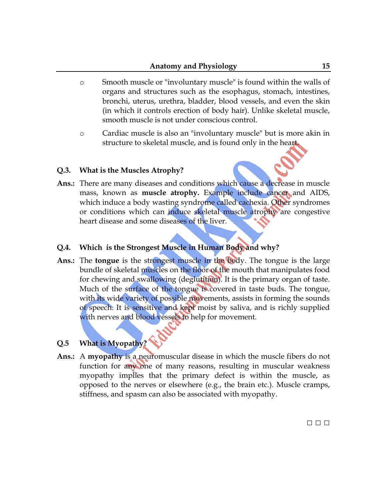- o [Smooth muscle](http://en.wikipedia.org/wiki/Smooth_muscle) or "involuntary muscle" is found within the walls of organs and structures such as the [esophagus,](http://en.wikipedia.org/wiki/Esophagus) [stomach,](http://en.wikipedia.org/wiki/Stomach) [intestines,](http://en.wikipedia.org/wiki/Intestine) [bronchi,](http://en.wikipedia.org/wiki/Bronchi) [uterus,](http://en.wikipedia.org/wiki/Uterus) [urethra,](http://en.wikipedia.org/wiki/Urethra) [bladder,](http://en.wikipedia.org/wiki/Urinary_bladder) [blood vessels,](http://en.wikipedia.org/wiki/Blood_vessel) and even the skin (in which it controls erection of body hair). Unlike skeletal muscle, smooth muscle is not under conscious control.
- o [Cardiac muscle](http://en.wikipedia.org/wiki/Cardiac_muscle) is also an "involuntary muscle" but is more akin in structure to skeletal muscle, and is found only in the heart.

### **Q.3. What is the Muscles Atrophy?**

**Ans.:** There are many diseases and conditions which cause a decrease in muscle mass, known as **muscle [atrophy.](http://en.wikipedia.org/wiki/Muscle_atrophy)** Example include [cancer](http://en.wikipedia.org/wiki/Cancer) and [AIDS,](http://en.wikipedia.org/wiki/AIDS) which induce a body wasting syndrome called [cachexia.](http://en.wikipedia.org/wiki/Cachexia) Other syndromes or conditions which can induce skeletal muscle atrophy are congestive [heart disease](http://en.wikipedia.org/wiki/Heart_failure) and some [diseases of the liver.](http://en.wikipedia.org/wiki/Hepato-biliary_diseases)

### **Q.4. Which is the Strongest Muscle in Human Body and why?**

י

**Ans.:** The **[tongue](http://en.wikipedia.org/wiki/Tongue)** is the strongest muscle in the body. The tongue is the large bundle of [skeletal muscles](http://en.wikipedia.org/wiki/Skeletal_muscle) on the floor of the [mouth](http://en.wikipedia.org/wiki/Mouth) that manipulates [food](http://en.wikipedia.org/wiki/Food) for [chewing and swallowing](http://en.wikipedia.org/wiki/Chewing) (deglutition). It is the primary organ of [taste.](http://en.wikipedia.org/wiki/Taste) Much of the surface of the tongue is covered in [taste buds.](http://en.wikipedia.org/wiki/Taste_bud) The tongue, with its wide variety of possible movements, assists in forming the sounds of [speech.](http://en.wikipedia.org/wiki/Speech_communication) It is sensitive and kept moist by [saliva,](http://en.wikipedia.org/wiki/Saliva) and is richly supplied with nerves and blood vessels to help for movement.

### **Q.5 What is Myopathy?**

**Ans.:** A **myopathy** is a neuromuscular [disease](http://en.wikipedia.org/wiki/Disease) in which the [muscle fibers](http://en.wikipedia.org/wiki/Muscle_fiber) do not function for any one of many reasons, resulting in [muscular weakness](http://en.wikipedia.org/wiki/Muscular_weakness) myopathy implies that the primary defect is within the muscle, as opposed to the nerves or elsewhere (e.g., the brain etc.). [Muscle cramps,](http://en.wikipedia.org/wiki/Muscle_cramp) [stiffness,](http://en.wikipedia.org/wiki/Stiffness) and [spasm](http://en.wikipedia.org/wiki/Spasm) can also be associated with myopathy.

□ □ □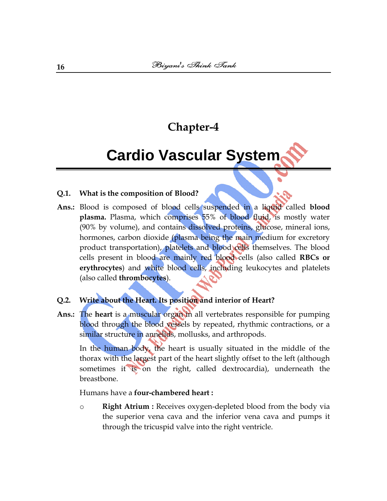# **Cardio Vascular System**

### **Q.1. What is the composition of Blood?**

**Ans.:** Blood is composed of [blood cells](http://en.wikipedia.org/wiki/Blood_cells) suspended in a liquid called **[blood](http://en.wikipedia.org/wiki/Blood_plasma)  [plasma.](http://en.wikipedia.org/wiki/Blood_plasma)** Plasma, which comprises 55% of blood fluid, is mostly water (90% by volume), and contains dissolved proteins, [glucose,](http://en.wikipedia.org/wiki/Glucose) mineral ions, [hormones,](http://en.wikipedia.org/wiki/Hormone) [carbon dioxide](http://en.wikipedia.org/wiki/Carbon_dioxide) (plasma being the main medium for excretory product transportation), [platelets](http://en.wikipedia.org/wiki/Platelets) and blood cells themselves. The blood cells present in blood are mainly [red blood cells](http://en.wikipedia.org/wiki/Red_blood_cell) (also called **RBCs or erythrocytes**) and [white blood cells,](http://en.wikipedia.org/wiki/White_blood_cell) including leukocytes and [platelets](http://en.wikipedia.org/wiki/Platelet) (also called **thrombocytes**).

# **Q.2. Write about the Heart. Its position and interior of Heart?**

**Ans.:** The **heart** is a [muscular](http://en.wikipedia.org/wiki/Muscle) [organ](http://en.wikipedia.org/wiki/Organ_%28anatomy%29) in all [vertebrates](http://en.wikipedia.org/wiki/Vertebrate) responsible for pumping [blood](http://en.wikipedia.org/wiki/Blood) through the [blood vessels](http://en.wikipedia.org/wiki/Blood_vessel) by repeated, rhythmic contractions, or a similar structure in [annelids,](http://en.wikipedia.org/wiki/Annelid) [mollusks,](http://en.wikipedia.org/wiki/Mollusk) and [arthropods.](http://en.wikipedia.org/wiki/Arthropod)

In the human body, the heart is usually situated in the middle of the [thorax](http://en.wikipedia.org/wiki/Thorax) with the largest part of the heart slightly offset to the left (although sometimes it is on the right, called [dextrocardia\)](http://en.wikipedia.org/wiki/Dextrocardia), underneath the [breastbone.](http://en.wikipedia.org/wiki/Breastbone)

### [Humans](http://en.wikipedia.org/wiki/Human) have a **four-chambered heart :**

o **Right [Atrium](http://en.wikipedia.org/wiki/Atrium_%28anatomy%29) :** Receives [oxygen-](http://en.wikipedia.org/wiki/Oxygen)depleted [blood](http://en.wikipedia.org/wiki/Blood) from the body via the [superior vena cava](http://en.wikipedia.org/wiki/Superior_vena_cava) and the [inferior vena cava](http://en.wikipedia.org/wiki/Inferior_vena_cava) and pumps it through the [tricuspid valve](http://en.wikipedia.org/wiki/Tricuspid_valve) into the right ventricle.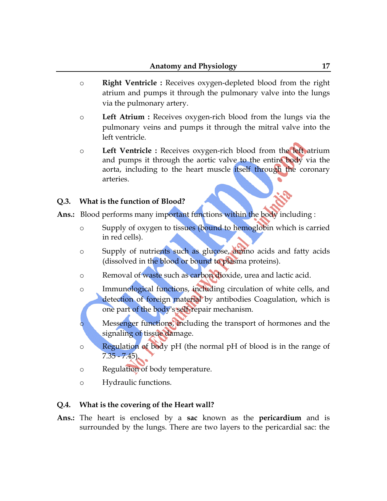- o **Right [Ventricle](http://en.wikipedia.org/wiki/Ventricle_%28heart%29) :** Receives oxygen-depleted blood from the right atrium and pumps it through the [pulmonary valve](http://en.wikipedia.org/wiki/Pulmonary_valve) into the [lungs](http://en.wikipedia.org/wiki/Lung) via the [pulmonary artery.](http://en.wikipedia.org/wiki/Pulmonary_artery)
- o **Left Atrium :** Receives oxygen-rich blood from the lungs via the [pulmonary veins](http://en.wikipedia.org/wiki/Pulmonary_vein) and pumps it through the [mitral valve](http://en.wikipedia.org/wiki/Mitral_valve) into the left ventricle.
- o **Left Ventricle :** Receives oxygen-rich blood from the left atrium and pumps it through the [aortic valve](http://en.wikipedia.org/wiki/Aortic_valve) to the entire body via the [aorta,](http://en.wikipedia.org/wiki/Aorta) including to the heart muscle itself through the coronary [arteries.](http://en.wikipedia.org/wiki/Coronary_arteries)

## **Q.3. What is the function of Blood?**

- **Ans.:** Blood performs many important functions within the body including :
	- o Supply of [oxygen](http://en.wikipedia.org/wiki/Oxygen) to tissues (bound to [hemoglobin](http://en.wikipedia.org/wiki/Hemoglobin) which is carried in red cells).
	- o Supply of nutrients such as [glucose,](http://en.wikipedia.org/wiki/Glucose) [amino acids](http://en.wikipedia.org/wiki/Amino_acids) and [fatty acids](http://en.wikipedia.org/wiki/Fatty_acids) (dissolved in the blood or bound to plasma proteins).
	- o Removal of waste such as [carbon dioxide,](http://en.wikipedia.org/wiki/Carbon_dioxide) [urea](http://en.wikipedia.org/wiki/Urea) and [lactic acid.](http://en.wikipedia.org/wiki/Lactic_acid)
	- o Immunological functions, including circulation of white cells, and detection of foreign material by [antibodies](http://en.wikipedia.org/wiki/Antibodies) [Coagulation,](http://en.wikipedia.org/wiki/Coagulation) which is one part of the body's self-repair mechanism.
	- o Messenger functions, including the transport of [hormones](http://en.wikipedia.org/wiki/Hormones) and the signaling of [tissue](http://en.wikipedia.org/wiki/Tissue_%28biology%29) damage.
	- o Regulation of body [pH](http://en.wikipedia.org/wiki/PH) (the normal pH of blood is in the range of 7.35 - 7.45).
	- o Regulation of [body temperature.](http://en.wikipedia.org/wiki/Body_temperature)
	- o [Hydraulic](http://en.wikipedia.org/wiki/Hydraulics) functions.

## **Q.4. What is the covering of the Heart wall?**

**Ans.:** The heart is enclosed by a **sac** known as the **[pericardium](http://en.wikipedia.org/wiki/Pericardium)** and is surrounded by the [lungs.](http://en.wikipedia.org/wiki/Lung) There are two layers to the pericardial sac: the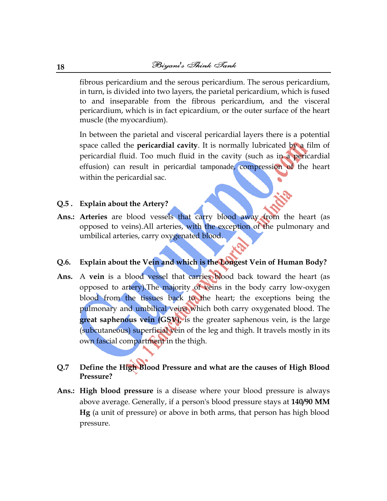[fibrous pericardium](http://en.wikipedia.org/wiki/Fibrous_pericardium) and the [serous pericardium.](http://en.wikipedia.org/wiki/Serous_pericardium) The serous pericardium, in turn, is divided into two layers, the parietal pericardium, which is fused to and inseparable from the fibrous pericardium, and the visceral pericardium, which is in fact [epicardium,](http://en.wikipedia.org/wiki/Epicardium) or the outer surface of the heart muscle (the [myocardium\)](http://en.wikipedia.org/wiki/Myocardium).

In between the parietal and visceral pericardial layers there is a [potential](http://en.wikipedia.org/wiki/Potential_space)  [space](http://en.wikipedia.org/wiki/Potential_space) called the **[pericardial cavity](http://en.wikipedia.org/wiki/Pericardial_cavity)**. It is normally lubricated by a film of pericardial fluid. Too much fluid in the cavity (such as in a [pericardial](http://en.wikipedia.org/wiki/Pericardial_effusion)  [effusion\)](http://en.wikipedia.org/wiki/Pericardial_effusion) can result in [pericardial tamponade](http://en.wikipedia.org/wiki/Pericardial_tamponade), compression of the heart within the pericardial sac.

### **Q.5 . Explain about the Artery?**

**Ans.: Arteries** are [blood vessels](http://en.wikipedia.org/wiki/Blood_vessel) that carry blood away from the [heart](http://en.wikipedia.org/wiki/Heart) (as opposed to [veins\)](http://en.wikipedia.org/wiki/Vein).All arteries, with the exception of the pulmonary and umbilical arteries, carry oxygenated blood.

### **Q.6. Explain about the Vein and which is the Longest Vein of Human Body?**

**Ans.** A **vein** is a [blood vessel](http://en.wikipedia.org/wiki/Blood_vessel) that carries [blood](http://en.wikipedia.org/wiki/Blood) back toward the [heart](http://en.wikipedia.org/wiki/Heart) (as opposed to [artery\)](http://en.wikipedia.org/wiki/Artery).The majority of veins in the body carry low-oxygen blood from the tissues back to the heart; the exceptions being the [pulmonary](http://en.wikipedia.org/wiki/Pulmonary_vein) and [umbilical veins](http://en.wikipedia.org/wiki/Umbilical_vein) which both carry oxygenated blood. The **great saphenous vein (GSV)**, is the greater saphenous vein, is the large (subcutaneous) [superficial vein](http://en.wikipedia.org/wiki/Superficial_vein) of the [leg](http://en.wikipedia.org/wiki/Leg) and [thigh.](http://en.wikipedia.org/wiki/Thigh) It travels mostly in its own fascial compartment in the thigh.

## **Q.7 Define the High Blood Pressure and what are the causes of High Blood Pressure?**

**Ans.: High blood pressure** is a [disease](http://simple.wikipedia.org/wiki/Disease) where your [blood](http://simple.wikipedia.org/wiki/Blood) pressure is always above average. Generally, if a person's blood pressure stays at **140/90 MM Hg** (a unit of pressure) or above in both arms, that person has high blood pressure.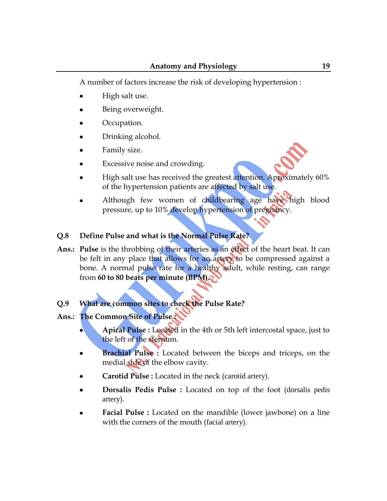A number of factors increase the risk of developing hypertension :

- High salt use.
- Being overweight.
- Occupation.
- Drinking alcohol.
- Family size.
- Excessive noise and crowding.
- High salt use has received the greatest attention. Aproximately 60% of the hypertension patients are affected by salt use.
- Although few women of childbearing age have high blood pressure, up to 10% develop hypertension of pregnancy.

### **Q.8 Define Pulse and what is the Normal Pulse Rate?**

**Ans.: Pulse** is the throbbing of their [arteries](http://en.wikipedia.org/wiki/Artery) as an effect of the [heart](http://en.wikipedia.org/wiki/Heart) beat. It can be felt in any place that allows for an artery to be compressed against a bone. A normal pulse rate for a [healthy](http://en.wikipedia.org/wiki/Health) adult, while resting, can range from **60 to 80 beats per minute (BPM).**

### **Q.9 What are common sites to check the Pulse Rate?**

## **Ans.: The Common Site of Pulse :**

- **Apical Pulse :** Located in the 4th or 5th left intercostal space, just to the left of the [sternum.](http://en.wikipedia.org/wiki/Sternum)
- **Brachial Pulse :** Located between the biceps and triceps, on the [medial side](http://en.wikipedia.org/wiki/Anatomical_terms_of_location) of the elbow cavity.
- **Carotid Pulse :** Located in the neck ([carotid artery](http://en.wikipedia.org/wiki/Carotid_artery)).
- **Dorsalis Pedis Pulse :** Located on top of the foot ([dorsalis pedis](http://en.wikipedia.org/wiki/Dorsalis_pedis_artery)  [artery](http://en.wikipedia.org/wiki/Dorsalis_pedis_artery)).
- **Facial Pulse :** Located on the mandible (lower jawbone) on a line with the corners of the mouth ([facial artery](http://en.wikipedia.org/wiki/Facial_artery)).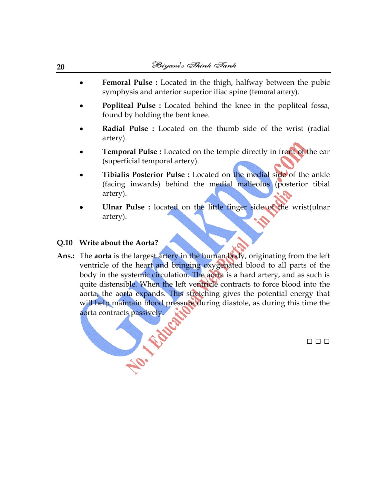- **Femoral Pulse :** Located in the thigh, halfway between the pubic  $\bullet$ symphysis and anterior superior iliac spine ([femoral artery](http://en.wikipedia.org/wiki/Femoral_artery)).
- **Popliteal Pulse :** Located behind the knee in the popliteal fossa, found by holding the bent knee.
- **Radial Pulse :** Located on the thumb side of the wrist [\(radial](http://en.wikipedia.org/wiki/Radial_artery)  [artery\)](http://en.wikipedia.org/wiki/Radial_artery).
- **Temporal Pulse :** Located on the [temple](http://en.wikipedia.org/wiki/Temple_%28anatomy%29) directly in front of the ear [\(superficial temporal artery\)](http://en.wikipedia.org/wiki/Superficial_temporal_artery).
- **Tibialis Posterior Pulse :** Located on the medial side of the ankle (facing inwards) behind the medial malleolus [\(posterior tibial](http://en.wikipedia.org/wiki/Posterior_tibial_artery)  [artery\)](http://en.wikipedia.org/wiki/Posterior_tibial_artery).
- **Ulnar Pulse :** located on the little finger side of the wrist[\(ulnar](http://en.wikipedia.org/wiki/Ulnar_artery)  [artery\)](http://en.wikipedia.org/wiki/Ulnar_artery).

### **Q.10 Write about the Aorta?**

**Ans.:** The **aorta** is the largest [artery](http://en.wikipedia.org/wiki/Artery) in the [human body,](http://en.wikipedia.org/wiki/Human_body) originating from the [left](http://en.wikipedia.org/wiki/Left_ventricle)  [ventricle](http://en.wikipedia.org/wiki/Left_ventricle) of the [heart](http://en.wikipedia.org/wiki/Heart) and bringing oxygenated blood to all parts of the body in the [systemic circulation.](http://en.wikipedia.org/wiki/Systemic_circulation) The aorta is a hard artery, and as such is quite distensible. When the left ventricle contracts to force blood into the aorta, the aorta expands. This stretching gives the potential energy that will help maintain blood pressure during [diastole,](http://en.wikipedia.org/wiki/Diastole) as during this time the aorta contracts passively. No. Editor

□ □ □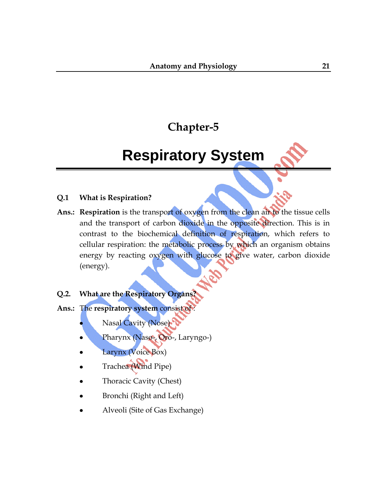# **Respiratory System**

### **Q.1 What is Respiration?**

**Ans.: Respiration** is the transport of [oxygen](http://en.wikipedia.org/wiki/Oxygen) from the clean air to the [tissue](http://en.wikipedia.org/wiki/Tissue_%28biology%29) cells and the transport of [carbon dioxide](http://en.wikipedia.org/wiki/Carbon_dioxide) in the opposite direction. This is in contrast to the [biochemical](http://en.wikipedia.org/wiki/Biochemistry) definition of respiration, which refers to [cellular respiration:](http://en.wikipedia.org/wiki/Cellular_respiration) the [metabolic](http://en.wikipedia.org/wiki/Metabolism) process by which an [organism](http://en.wikipedia.org/wiki/Organism) obtains energy by reacting [oxygen](http://en.wikipedia.org/wiki/Oxygen) with [glucose](http://en.wikipedia.org/wiki/Glucose) to give [water,](http://en.wikipedia.org/wiki/Water) [carbon dioxide](http://en.wikipedia.org/wiki/Carbon_dioxide) (energy).

# **Q.2. What are the Respiratory Organs?**

- **Ans.:** The **respiratory system** consist of :
	- [Nasal Cavity](http://en.wikipedia.org/wiki/Nasal_cavity) (Nose)
	- [Pharynx](http://en.wikipedia.org/wiki/Pharynx) (Naso-, Oro-, Laryngo-)
	- [Larynx](http://en.wikipedia.org/wiki/Larynx) (Voice Box)
	- [Trachea](http://en.wikipedia.org/wiki/Vertebrate_trachea) (Wind Pipe)
	- [Thoracic](http://en.wikipedia.org/wiki/Thoracic) Cavity (Chest)
	- [Bronchi](http://en.wikipedia.org/wiki/Bronchi) (Right and Left)
	- [Alveoli](http://en.wikipedia.org/wiki/Alveoli) (Site of Gas Exchange)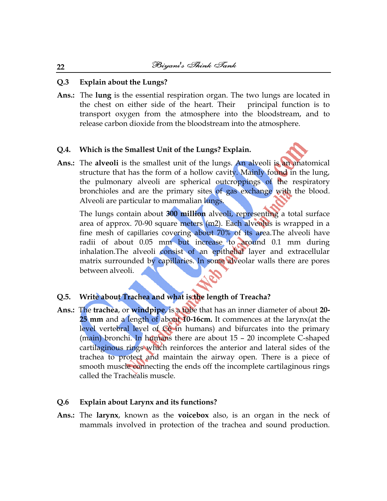### **Q.3 Explain about the Lungs?**

**Ans.:** The **lung** is the essential [respiration organ.](http://en.wikipedia.org/wiki/Respiration_organ) The two lungs are located in the chest on either side of the [heart.](http://en.wikipedia.org/wiki/Heart) Their principal function is to transport [oxygen](http://en.wikipedia.org/wiki/Oxygen) from the [atmosphere](http://en.wikipedia.org/wiki/Earth%27s_atmosphere) into the [bloodstream,](http://en.wikipedia.org/wiki/Bloodstream) and to release [carbon dioxide](http://en.wikipedia.org/wiki/Carbon_dioxide) from the bloodstream into the atmosphere.

### **Q.4. Which is the Smallest Unit of the Lungs? Explain.**

**Ans.:** The **alveoli** is the smallest unit of the lungs. An alveoli is an anatomical structure that has the form of a hollow cavity. Mainly found in the lung, the pulmonary alveoli are spherical outcroppings of the respiratory bronchioles and are the primary sites of [gas exchange](http://en.wikipedia.org/wiki/Gas_exchange) with the [blood.](http://en.wikipedia.org/wiki/Blood) Alveoli are particular to mammalian lungs.

The lungs contain about **300 million** alveoli, representing a total surface area of approx. 70-90 square meters (m2). Each alveolus is wrapped in a fine mesh of [capillaries](http://en.wikipedia.org/wiki/Capillaries) covering about 70% of its area. The alveoli have radii of about 0.05 mm but increase to around 0.1 mm during [inhalation.](http://en.wikipedia.org/wiki/Inhalation)The alveoli consist of an epithelial layer and extracellular matrix surrounded by capillaries. In some alveolar walls there are pores between alveoli.

### **Q.5. Write about Trachea and what is the length of Treacha?**

**Ans.:** The **trachea**, or **windpipe**, is a tube that has an inner diameter of about **20- 25 mm** and a length of about **10-16cm.** It commences at the [larynx\(](http://en.wikipedia.org/wiki/Larynx)at the level vertebral level of C6 in humans) and bifurcates into the primary (main) [bronchi.](http://en.wikipedia.org/wiki/Bronchus) In humans there are about 15 – 20 incomplete C-shaped [cartilaginous rings](http://en.wikipedia.org/wiki/Tracheal_rings) which reinforces the anterior and lateral sides of the trachea to protect and maintain the airway open. There is a piece of [smooth muscle](http://en.wikipedia.org/wiki/Smooth_muscle) connecting the ends off the incomplete cartilaginous rings called the Trachealis muscle.

### **Q.6 Explain about Larynx and its functions?**

**Ans.:** The **larynx**, known as the **voicebox** also, is an [organ](http://en.wikipedia.org/wiki/Organ_%28anatomy%29) in the [neck](http://en.wikipedia.org/wiki/Neck) of [mammals](http://en.wikipedia.org/wiki/Mammals) involved in protection of the [trachea](http://en.wikipedia.org/wiki/Vertebrate_trachea) and sound production.

#### **22**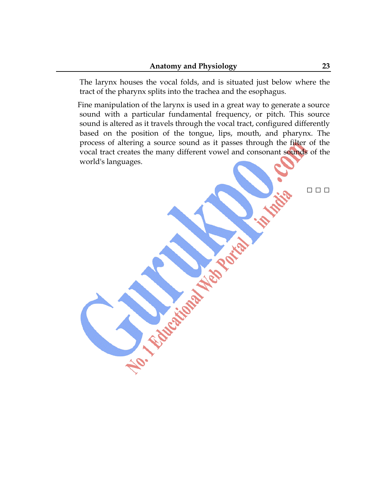The larynx houses the [vocal folds,](http://en.wikipedia.org/wiki/Vocal_folds) and is situated just below where the tract of the [pharynx](http://en.wikipedia.org/wiki/Pharynx) splits into the trachea and the [esophagus.](http://en.wikipedia.org/wiki/Esophagus)

Fine manipulation of the larynx is used in a great way to generate a source sound with a particular fundamental frequency, or pitch. This source sound is altered as it travels through the [vocal tract,](http://en.wikipedia.org/wiki/Vocal_tract) configured differently based on the position of the [tongue,](http://en.wikipedia.org/wiki/Tongue) [lips,](http://en.wikipedia.org/wiki/Lips) [mouth,](http://en.wikipedia.org/wiki/Mouth) and [pharynx.](http://en.wikipedia.org/wiki/Pharynx) The process of altering a source sound as it passes through the filter of the vocal tract creates the many different vowel and consonant sounds of the world's languages.

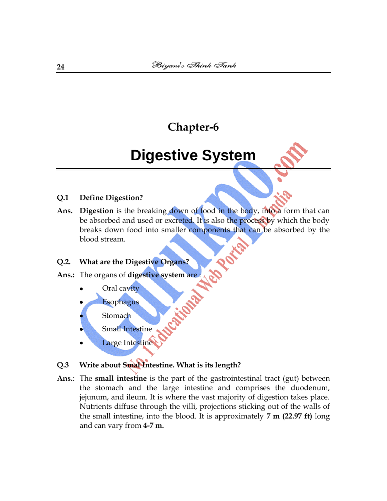# **Digestive System**

### **Q.1 Define Digestion?**

**Ans. Digestion** is the breaking down of food in the body, into a form that can be absorbed and used or excreted. It is also the process by which the body breaks down food into smaller [components](http://en.wikipedia.org/wiki/Components) that can be absorbed by the [blood stream.](http://en.wikipedia.org/wiki/Blood_stream)

### **Q.2. What are the Digestive Organs?**

**Ans.:** The organs of **digestive system** are :

- Oral cavity
- [Esophagus](http://en.wikipedia.org/wiki/Esophagus)
- **Stomach**
- Small Intestine
- Large Intestine
- **Q.3 Write about Smal Intestine. What is its length?**
- **Ans.**: The **small [intestine](http://en.wikipedia.org/wiki/Intestine)** is the part of the [gastrointestinal tract](http://en.wikipedia.org/wiki/Gastrointestinal_tract) (gut) between the [stomach](http://en.wikipedia.org/wiki/Stomach) and the [large intestine](http://en.wikipedia.org/wiki/Large_intestine) and comprises the [duodenum,](http://en.wikipedia.org/wiki/Duodenum) [jejunum,](http://en.wikipedia.org/wiki/Jejunum) and [ileum.](http://en.wikipedia.org/wiki/Ileum) It is where the vast majority of digestion takes place. Nutrients diffuse through the villi, projections sticking out of the walls of the small intestine, into the blood. It is approximately **7 m (22.97 ft)** long and can vary from **4-7 m.**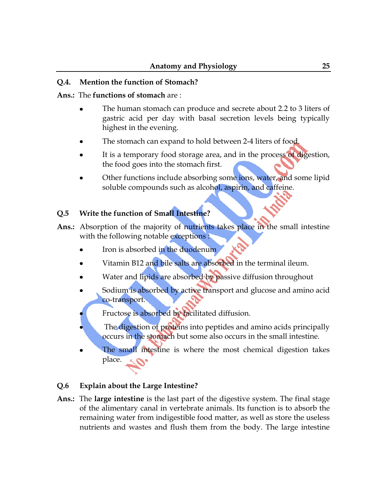## **Q.4. Mention the function of Stomach?**

### **Ans.:** The **functions of stomach** are :

- The human stomach can produce and secrete about 2.2 to 3 [liters](http://en.wikipedia.org/wiki/Liters) of gastric acid per day with basal secretion levels being typically highest in the evening.
- The stomach can expand to hold between 2-4 liters of food.
- It is a temporary food storage area, and in the process of digestion, the food goes into the stomach first.
- Other functions include absorbing some ions, water, and some [lipid](http://en.wikipedia.org/wiki/Lipid) soluble compounds such as [alcohol,](http://en.wikipedia.org/wiki/Alcohol) [aspirin,](http://en.wikipedia.org/wiki/Aspirin) and [caffeine.](http://en.wikipedia.org/wiki/Caffeine)

# **Q.5 Write the function of Small Intestine?**

- **Ans.:** Absorption of the majority of nutrients takes place in the small intestine with the following notable exceptions :
	- [Iron](http://en.wikipedia.org/wiki/Iron) is absorbed in the duodenum
	- [Vitamin B12](http://en.wikipedia.org/wiki/Vitamin_B12) and [bile salts](http://en.wikipedia.org/wiki/Bile_salts) are absorbed in the terminal ileum.
	- Water and [lipids](http://en.wikipedia.org/wiki/Lipids) are absorbed by passive diffusion throughout
	- [Sodium](http://en.wikipedia.org/wiki/Sodium) is absorbed by active transport and [glucose](http://en.wikipedia.org/wiki/Glucose) and [amino acid](http://en.wikipedia.org/wiki/Amino_acid) co-transport.
	- [Fructose](http://en.wikipedia.org/wiki/Fructose) is absorbed by [facilitated diffusion.](http://en.wikipedia.org/wiki/Facilitated_diffusion)
	- The digestion of proteins into peptides and amino acids principally occurs in the stomach but some also occurs in the small intestine.
	- The small intestine is where the most chemical digestion takes place.

## **Q.6 Explain about the Large Intestine?**

**Ans.:** The **large intestine** is the last part of the [digestive system.](http://en.wikipedia.org/wiki/Digestive_system) The final stage of the [alimentary canal](http://en.wikipedia.org/wiki/Alimentary_canal) in [vertebrate](http://en.wikipedia.org/wiki/Vertebrate) [animals.](http://en.wikipedia.org/wiki/Animal) Its function is to absorb the remaining water from indigestible food matter, as well as store the useless nutrients and wastes and flush them from the body. The large intestine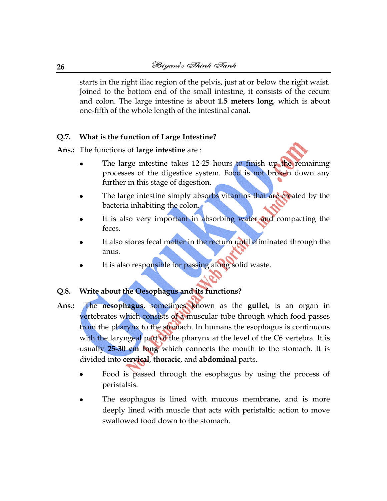starts in the right [iliac region](http://en.wikipedia.org/wiki/Iliac_region) of the [pelvis,](http://en.wikipedia.org/wiki/Pelvis) just at or below the right waist. Joined to the bottom end of the [small intestine,](http://en.wikipedia.org/wiki/Small_intestine) it consists of the [cecum](http://en.wikipedia.org/wiki/Cecum) and [colon.](http://en.wikipedia.org/wiki/Colon_%28anatomy%29) The large intestine is about **1.5 meters long**, which is about one-fifth of the whole length of the [intestinal canal.](http://en.wikipedia.org/wiki/Intestine)

## **Q.7. What is the function of Large Intestine?**

**Ans.:** The functions of **large intestine** are :

- The large intestine takes 12-25 hours to finish up the remaining processes of the digestive system. Food is not broken down any further in this stage of digestion.
- The large intestine simply absorbs vitamins that are created by the bacteria inhabiting the colon.
- It is also very important in absorbing water and compacting the feces.
- It also stores fecal matter in the rectum until eliminated through the anus.
- It is also responsible for passing along solid waste.

## **Q.8. Write about the Oesophagus and its functions?**

- **Ans.:** The **oesophagus**, sometimes known as the **gullet**, is an [organ](http://en.wikipedia.org/wiki/Organ_%28anatomy%29) in [vertebrates](http://en.wikipedia.org/wiki/Vertebrate) which consists of a [muscular](http://en.wikipedia.org/wiki/Muscle) tube through which food passes from the [pharynx](http://en.wikipedia.org/wiki/Pharynx) to the [stomach.](http://en.wikipedia.org/wiki/Stomach) In humans the esophagus is continuous with the [laryngeal](http://en.wikipedia.org/wiki/Larynx) part of the [pharynx](http://en.wikipedia.org/wiki/Pharynx) at the level of the C6 [vertebra.](http://en.wikipedia.org/wiki/Vertebra) It is usually **25-30 cm long** which connects the mouth to the stomach. It is divided into **cervical**, **thoracic**, and **abdominal** parts.
	- Food is passed through the esophagus by using the process of [peristalsis.](http://en.wikipedia.org/wiki/Peristalsis)
	- The esophagus is lined with [mucous membrane,](http://en.wikipedia.org/wiki/Mucous_membrane) and is more deeply lined with [muscle](http://en.wikipedia.org/wiki/Muscle) that acts with peristaltic action to move swallowed food down to the stomach.

**26**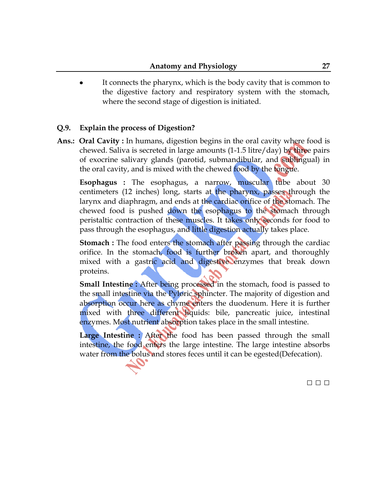It connects the [pharynx,](http://en.wikipedia.org/wiki/Pharynx) which is the body cavity that is common to the digestive factory and respiratory system with the stomach, where the second stage of digestion is initiated.

# **Q.9. Explain the process of Digestion?**

**Ans.: Oral Cavity :** In humans, digestion begins in the [oral cavity](http://en.wikipedia.org/wiki/Mouth_%28human%29) where food is [chewed.](http://en.wikipedia.org/wiki/Mastication) [Saliva](http://en.wikipedia.org/wiki/Saliva) is secreted in large amounts (1-1.5 litre/day) by three pairs of exocrine salivary glands (parotid, submandibular, and sublingual) in the oral cavity, and is mixed with the chewed food by the tongue.

**Esophagus :** The [esophagus,](http://en.wikipedia.org/wiki/Esophagus) a narrow, muscular tube about 30 centimeters (12 inches) long, starts at the pharynx, passes through the [larynx](http://en.wikipedia.org/wiki/Larynx) and [diaphragm,](http://en.wikipedia.org/wiki/Thoracic_diaphragm) and ends at the [cardiac orifice](http://en.wikipedia.org/wiki/Cardia) of the [stomach.](http://en.wikipedia.org/wiki/Stomach) The chewed food is pushed down the esophagus to the stomach through [peristaltic](http://en.wikipedia.org/wiki/Peristalsis) contraction of these muscles. It takes only seconds for food to pass through the esophagus, and little digestion actually takes place.

**Stomach :** The food enters the [stomach](http://en.wikipedia.org/wiki/Stomach) after passing through the cardiac [orifice.](http://en.wikipedia.org/wiki/Cardia) In the stomach, food is further broken apart, and thoroughly mixed with a [gastric acid](http://en.wikipedia.org/wiki/Gastric_acid) and digestive enzymes that break down proteins.

**Small Intestine :** After being processed in the stomach, food is passed to the [small intestine](http://en.wikipedia.org/wiki/Small_intestine) via the [Pyloric sphincter.](http://en.wikipedia.org/wiki/Pylorus) The majority of digestion and [absorption](http://en.wikipedia.org/wiki/Absorption_%28digestive%29) occur here as [chyme](http://en.wikipedia.org/wiki/Chyme) enters the [duodenum.](http://en.wikipedia.org/wiki/Duodenum) Here it is further mixed with three different liquids: [bile,](http://en.wikipedia.org/wiki/Bile) [pancreatic juice,](http://en.wikipedia.org/wiki/Pancreatic_juice) intestinal enzymes. Most nutrient absorption takes place in the small intestine.

Large Intestine : After the food has been passed through the small intestine, the food enters the [large intestine.](http://en.wikipedia.org/wiki/Large_intestine) The large intestine absorbs water from the [bolus](http://en.wikipedia.org/wiki/Bolus_%28digestion%29) and stores [feces](http://en.wikipedia.org/wiki/Feces) until it can be egested (Defecation).

□ □ □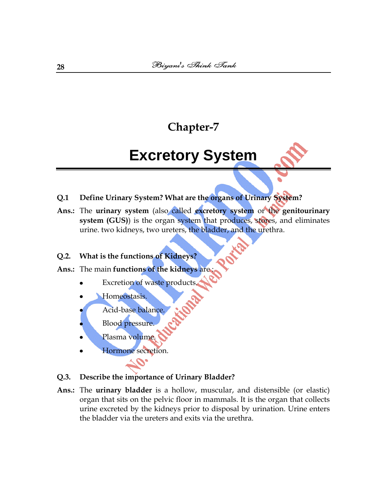# **Excretory System**

- **Q.1 Define Urinary System? What are the organs of Urinary System?**
- **Ans.:** The **urinary system** (also called **[excretory system](http://en.wikipedia.org/wiki/Excretory_system)** or the **genitourinary system (GUS)**) is the [organ system](http://en.wikipedia.org/wiki/Organ_system) that produces, stores, and eliminates [urine.](http://en.wikipedia.org/wiki/Urine) two [kidneys,](http://en.wikipedia.org/wiki/Kidney) two [ureters,](http://en.wikipedia.org/wiki/Ureter) the [bladder,](http://en.wikipedia.org/wiki/Urinary_bladder) and the [urethra.](http://en.wikipedia.org/wiki/Urethra)

### **Q.2. What is the functions of Kidneys?**

- **Ans.:** The main **functions of the kidneys** are :
	- Excretion of waste products.
	- Homeostasis.
	- Acid-base balance.
	- Blood pressure.
	- Plasma volume.
	- Hormone secretion.

#### **Q.3. Describe the importance of Urinary Bladder?**

**Ans.:** The **urinary bladder** is a hollow, [muscular,](http://en.wikipedia.org/wiki/Muscle) and distensible (or elastic) organ that sits on the [pelvic floor](http://en.wikipedia.org/wiki/Pelvic_floor) in [mammals.](http://en.wikipedia.org/wiki/Mammal) It is the organ that collects [urine](http://en.wikipedia.org/wiki/Urine) excreted by the [kidneys](http://en.wikipedia.org/wiki/Kidney) prior to disposal by [urination.](http://en.wikipedia.org/wiki/Urination) Urine enters the bladder via the [ureters](http://en.wikipedia.org/wiki/Ureter) and exits via the [urethra.](http://en.wikipedia.org/wiki/Urethra)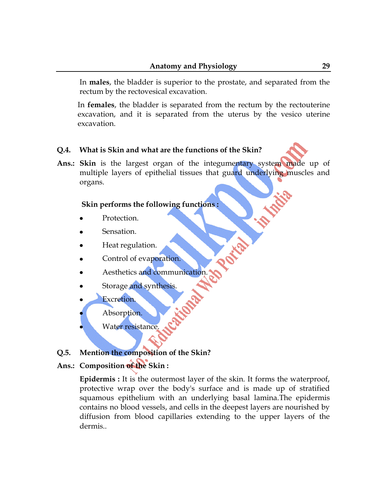In **males**, the bladder is superior to the [prostate,](http://en.wikipedia.org/wiki/Prostate) and separated from the [rectum](http://en.wikipedia.org/wiki/Rectum) by the [rectovesical excavation.](http://en.wikipedia.org/wiki/Rectovesical_excavation)

In **females**, the bladder is separated from the [rectum](http://en.wikipedia.org/wiki/Rectum) by the [rectouterine](http://en.wikipedia.org/wiki/Rectouterine_excavation)  [excavation,](http://en.wikipedia.org/wiki/Rectouterine_excavation) and it is separated from the [uterus](http://en.wikipedia.org/wiki/Uterus) by the [vesico uterine](http://en.wikipedia.org/wiki/Vesicouterine_excavation)  [excavation.](http://en.wikipedia.org/wiki/Vesicouterine_excavation)

### **Q.4. What is Skin and what are the functions of the Skin?**

**Ans.: Skin** is the largest [organ](http://en.wikipedia.org/wiki/Organ_%28anatomy%29) of the [integumentary system](http://en.wikipedia.org/wiki/Integumentary_system) made up of multiple layers of [epithelial](http://en.wikipedia.org/wiki/Epithelial) [tissues](http://en.wikipedia.org/wiki/Biological_tissue) that guard underlying [muscles](http://en.wikipedia.org/wiki/Muscle) and [organs.](http://en.wikipedia.org/wiki/Organ_%28anatomy%29)

### **Skin performs the following functions :**

- Protection.
- [Sensation.](http://en.wikipedia.org/wiki/Sensation)
- Heat regulation.
- Control of evaporation.
- Aesthetics and communication.
- Storage and synthesis.
- Excretion.
- Absorption.
- Water resistance

### **Q.5. Mention the composition of the Skin?**

### **Ans.: Composition of the Skin :**

**Epidermis :** It is the outermost layer of the skin. It forms the waterproof, protective wrap over the body's surface and is made up of stratified squamous [epithelium](http://en.wikipedia.org/wiki/Epithelium) with an underlying [basal lamina.](http://en.wikipedia.org/wiki/Basal_lamina)The epidermis contains no [blood vessels,](http://en.wikipedia.org/wiki/Blood_vessel) and cells in the deepest layers are nourished by diffusion from blood capillaries extending to the upper layers of the dermis..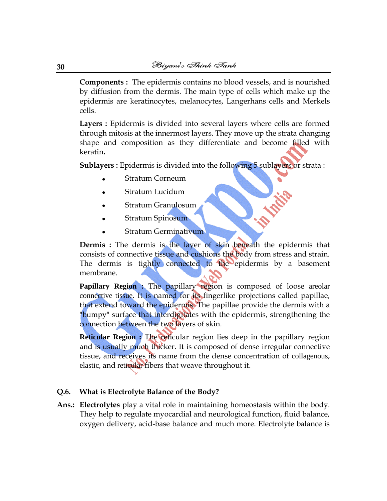**Components :** The epidermis contains no [blood vessels,](http://en.wikipedia.org/wiki/Blood_vessel) and is nourished by [diffusion](http://en.wikipedia.org/wiki/Diffusion) from the [dermis.](http://en.wikipedia.org/wiki/Dermis) The main type of cells which make up the epidermis are [keratinocytes,](http://en.wikipedia.org/wiki/Keratinocyte) [melanocytes,](http://en.wikipedia.org/wiki/Melanocyte) [Langerhans cells](http://en.wikipedia.org/wiki/Langerhans_cell) and [Merkels](http://en.wikipedia.org/wiki/Merkels_cell)  [cells.](http://en.wikipedia.org/wiki/Merkels_cell)

**Layers :** Epidermis is divided into several layers where cells are formed through [mitosis](http://en.wikipedia.org/wiki/Mitosis) at the innermost layers. They move up the strata changing shape and composition as they differentiate and become filled with [keratin](http://en.wikipedia.org/wiki/Keratin)**.** 

**Sublayers :** Epidermis is divided into the following 5 sublayers or strata :

- [Stratum Corneum](http://en.wikipedia.org/wiki/Stratum_corneum)
- [Stratum Lucidum](http://en.wikipedia.org/wiki/Stratum_lucidum)
- [Stratum Granulosum](http://en.wikipedia.org/wiki/Stratum_granulosum)
- [Stratum Spinosum](http://en.wikipedia.org/wiki/Stratum_spinosum)
- [Stratum Germinativum](http://en.wikipedia.org/wiki/Stratum_germinativum)

**Dermis :** The dermis is the layer of skin beneath the [epidermis](http://en.wikipedia.org/wiki/Epidermis_%28skin%29) that consists of [connective tissue](http://en.wikipedia.org/wiki/Connective_tissue) and cushions the body from stress and strain. The dermis is tightly connected to the epidermis by a basement [membrane.](http://en.wikipedia.org/wiki/Basement_membrane)

**Papillary Region :** The papillary region is composed of loose areolar [connective tissue](http://en.wikipedia.org/wiki/Areolar_connective_tissue). It is named for its fingerlike projections called papillae, that extend toward the epidermis. The papillae provide the dermis with a "bumpy" surface that interdigitates with the epidermis, strengthening the connection between the two layers of skin.

**Reticular Region :** The reticular region lies deep in the papillary region and is usually much thicker. It is composed of dense irregular connective tissue, and receives its name from the dense concentration of [collagenous](http://en.wikipedia.org/wiki/Collagenous), [elastic](http://en.wikipedia.org/wiki/Elasticity_%28physics%29), and [reticular](http://en.wikipedia.org/wiki/Reticular) fibers that weave throughout it.

#### **Q.6. What is Electrolyte Balance of the Body?**

**Ans.: [Electrolytes](http://en.wikipedia.org/wiki/Electrolyte)** play a vital role in maintaining [homeostasis](http://en.wikipedia.org/wiki/Homeostasis) within the body. They help to regulate myocardial and neurological function, fluid balance, oxygen delivery, acid-base balance and much more. Electrolyte balance is

**30**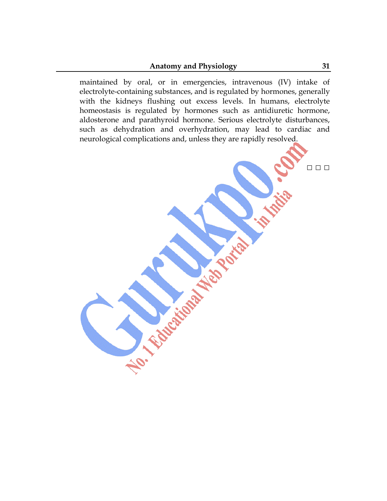### **Anatomy and Physiology 31**

maintained by oral, or in emergencies, intravenous (IV) intake of electrolyte-containing substances, and is regulated by [hormones,](http://en.wikipedia.org/wiki/Hormone) generally with the [kidneys](http://en.wikipedia.org/wiki/Kidney) flushing out excess levels. In humans, electrolyte [homeostasis](http://en.wikipedia.org/wiki/Homeostasis) is regulated by hormones such as [antidiuretic hormone,](http://en.wikipedia.org/wiki/Antidiuretic_hormone) [aldosterone](http://en.wikipedia.org/wiki/Aldosterone) and [parathyroid hormone.](http://en.wikipedia.org/wiki/Parathyroid_hormone) Serious [electrolyte disturbances,](http://en.wikipedia.org/wiki/Electrolyte_disturbance) such as [dehydration](http://en.wikipedia.org/wiki/Dehydration) and [overhydration,](http://en.wikipedia.org/wiki/Water_poisoning) may lead to cardiac and neurological complications and, unless they are rapidly resolved.

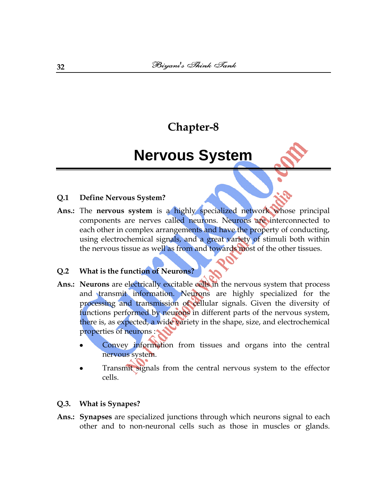# **Nervous System**

### **Q.1 Define Nervous System?**

**Ans.:** The **nervous system** is a highly specialized network whose principal components are nerves called [neurons.](http://en.wikipedia.org/wiki/Neuron) Neurons are interconnected to each other in complex arrangements and have the property of conducting, using electrochemical signals, and a great variety of stimuli both within the nervous tissue as well as from and towards most of the other tissues.

## **Q.2 What is the function of Neurons?**

- Ans.: Neurons are electrically excitable [cells](http://en.wikipedia.org/wiki/Cell_%28biology%29) in the [nervous system](http://en.wikipedia.org/wiki/Nervous_system) that process and transmit information. Neurons are highly specialized for the processing and transmission of cellular signals. Given the diversity of functions performed by neurons in different parts of the nervous system, there is, as expected, a wide variety in the shape, size, and electrochemical properties of neurons :
	- Convey information from tissues and organs into the central nervous system.
	- Transmit signals from the central nervous system to the [effector](http://en.wikipedia.org/wiki/Effector_cell)  [cells.](http://en.wikipedia.org/wiki/Effector_cell)

#### **Q.3. What is Synapes?**

**Ans.: Synapses** are specialized junctions through which [neurons](http://en.wikipedia.org/wiki/Neuron) signal to each other and to non-neuronal cells such as those in [muscles](http://en.wikipedia.org/wiki/Muscle) or [glands.](http://en.wikipedia.org/wiki/Gland)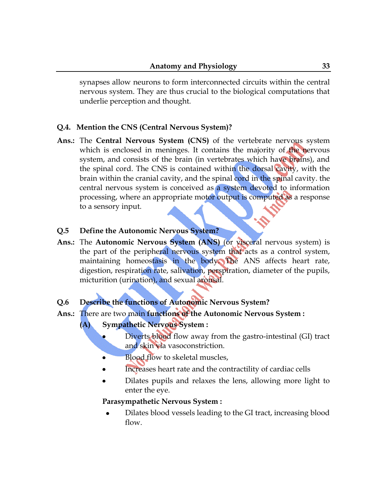synapses allow neurons to form interconnected circuits within the [central](http://en.wikipedia.org/wiki/Central_nervous_system)  [nervous system.](http://en.wikipedia.org/wiki/Central_nervous_system) They are thus crucial to the biological computations that underlie perception and thought.

# **Q.4. Mention the CNS (Central Nervous System)?**

**Ans.:** The **Central Nervous System (CNS)** of the [vertebrate](http://en.wikipedia.org/wiki/Vertebrate) [nervous system](http://en.wikipedia.org/wiki/Nervous_system) which is enclosed in [meninges.](http://en.wikipedia.org/wiki/Meninges) It contains the majority of the nervous system, and consists of the [brain](http://en.wikipedia.org/wiki/Brain) (in vertebrates which have brains), and the [spinal cord.](http://en.wikipedia.org/wiki/Spinal_cord) The CNS is contained within the [dorsal cavity,](http://en.wikipedia.org/wiki/Dorsal_cavity) with the brain within the [cranial cavity,](http://en.wikipedia.org/wiki/Cranial_cavity) and the spinal cord in the [spinal cavity.](http://en.wikipedia.org/wiki/Spinal_cavity) the central nervous system is conceived as a system devoted to information processing, where an appropriate [motor output](http://en.wikipedia.org/w/index.php?title=Motor_output&action=edit&redlink=1) is computed as a response to a sensory input.

### **Q.5 Define the Autonomic Nervous System?**

**Ans.:** The **Autonomic Nervous System (ANS)** (or visceral nervous system) is the part of the [peripheral nervous system](http://en.wikipedia.org/wiki/Peripheral_nervous_system) that acts as a [control system,](http://en.wikipedia.org/wiki/Control_system) maintaining [homeostasis](http://en.wikipedia.org/wiki/Homeostasis) in the body. The ANS affects heart rate, digestion, respiration rate, salivation, perspiration, diameter of the pupils, micturition (urination), and sexual arousal.

## **Q.6 Describe the functions of Autonomic Nervous System?**

- **Ans.:** There are two main **functions of the Autonomic Nervous System :**
	- **(A) [Sympathetic Nervous System](http://en.wikipedia.org/wiki/Sympathetic_nervous_system) :**
		- Diverts blood flow away from the gastro-intestinal (GI) tract and [skin](http://en.wikipedia.org/wiki/Skin) via vasoconstriction.
		- Blood flow to [skeletal muscles,](http://en.wikipedia.org/wiki/Skeletal_muscle)  $\bullet$
		- Increases [heart rate](http://en.wikipedia.org/wiki/Heart_rate) and the [contractility](http://en.wikipedia.org/wiki/Contractility) of cardiac cells
		- Dilates pupils and relaxes the lens, allowing more light to enter the [eye.](http://en.wikipedia.org/wiki/Eye)

## **[Parasympathetic Nervous System](http://en.wikipedia.org/wiki/Parasympathetic_nervous_system) :**

Dilates blood vessels leading to the GI tract, increasing blood flow.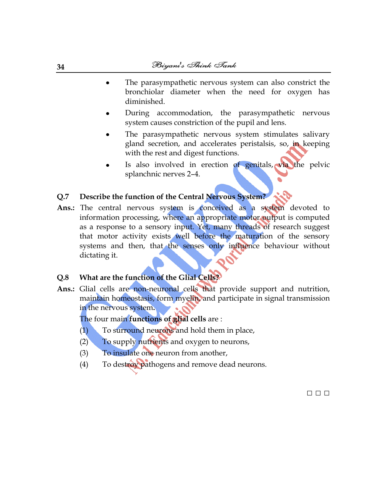- The parasympathetic nervous system can also constrict the bronchiolar diameter when the need for oxygen has diminished.
- During accommodation, the parasympathetic nervous system causes constriction of the pupil and lens.
- The parasympathetic nervous system stimulates salivary gland secretion, and accelerates [peristalsis,](http://en.wikipedia.org/wiki/Peristalsis) so, in keeping with the rest and digest functions.
- Is also involved in erection of genitals, via the pelvic [splanchnic nerves](http://en.wikipedia.org/wiki/Pelvic_splanchnic_nerves) 2–4.

# **Q.7 Describe the function of the Central Nervous System?**

Ans.: The central nervous system is conceived as a system devoted to information processing, where an appropriate [motor output](http://en.wikipedia.org/w/index.php?title=Motor_output&action=edit&redlink=1) is computed as a response to a sensory input. Yet, many threads of research suggest that motor activity exists well before the maturation of the sensory systems and then, that the senses only influence behaviour without dictating it.

### **Q.8 What are the function of the Glial Cells?**

**Ans.:** Glial cells are non[-neuronal](http://en.wikipedia.org/wiki/Neuron) [cells](http://en.wikipedia.org/wiki/Cell_%28biology%29) that provide support and nutrition, maintain [homeostasis,](http://en.wikipedia.org/wiki/Homeostasis) form [myelin,](http://en.wikipedia.org/wiki/Myelin) and participate in signal transmission in the nervous system**.**

□ □ □

### The four main **functions of glial cells** are :

- (1) To surround neurons and hold them in place,
- (2) To supply [nutrients](http://en.wikipedia.org/wiki/Nutrients) and [oxygen](http://en.wikipedia.org/wiki/Oxygen) to neurons,
- (3) To insulate one neuron from another,
- (4) To destroy [pathogens](http://en.wikipedia.org/wiki/Pathogens) and remove dead neurons.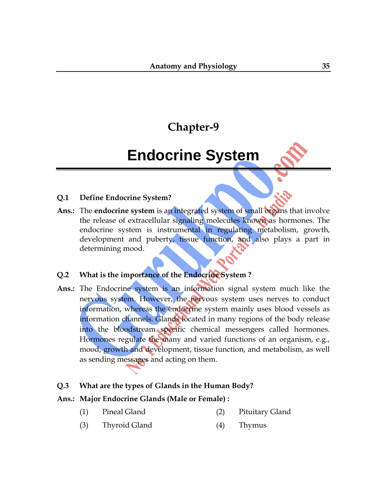# **Endocrine System**

### **Q.1 Define Endocrine System?**

**Ans.:** The **endocrine system** is an integrated system of small organs that involve the release of extracellular signaling molecules known as [hormones.](http://en.wikipedia.org/wiki/Hormone) The endocrine system is instrumental in regulating [metabolism,](http://en.wikipedia.org/wiki/Metabolism) [growth,](http://en.wikipedia.org/wiki/Human_development_%28biology%29)  [development and puberty,](http://en.wikipedia.org/wiki/Human_development_%28biology%29) [tissue function,](http://en.wikipedia.org/wiki/Tissue_%28biology%29) and also plays a part in determining [mood.](http://en.wikipedia.org/wiki/Mood)

# **Q.2 What is the importance of the Endocrine System ?**

**Ans.:** The Endocrine system is an information signal system much like the [nervous system.](http://en.wikipedia.org/wiki/Nervous_system) However, the nervous system uses nerves to conduct information, whereas the endocrine system mainly uses [blood vessels](http://en.wikipedia.org/wiki/Blood_vessels) as information channels. Glands located in many regions of the body release into the bloodstream specific chemical messengers called hormones. Hormones regulate the many and varied functions of an organism, e.g., [mood,](http://en.wikipedia.org/wiki/Mood) [growth and development,](http://en.wikipedia.org/wiki/Human_development_%28biology%29) [tissue function,](http://en.wikipedia.org/wiki/Tissue_%28biology%29) and [metabolism,](http://en.wikipedia.org/wiki/Metabolism) as well as sending messages and acting on them.

### **Q.3 What are the types of Glands in the Human Body?**

### **Ans.: Major Endocrine Glands [\(Male](http://en.wikipedia.org/wiki/Male) or [Female\)](http://en.wikipedia.org/wiki/Female) :**

- (1) [Pineal Gland](http://en.wikipedia.org/wiki/Pineal_gland) (2) [Pituitary Gland](http://en.wikipedia.org/wiki/Pituitary_gland)
- (3) [Thyroid Gland](http://en.wikipedia.org/wiki/Thyroid_gland) (4) [Thymus](http://en.wikipedia.org/wiki/Thymus)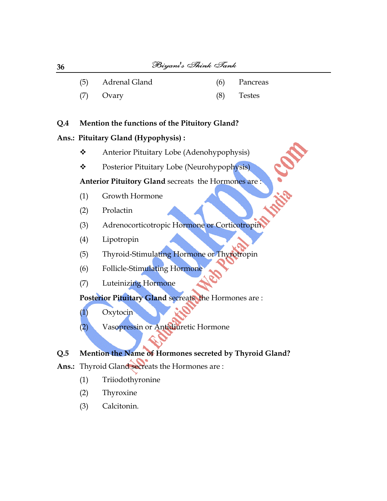- (5) [Adrenal Gland](http://en.wikipedia.org/wiki/Adrenal_gland) (6) [Pancreas](http://en.wikipedia.org/wiki/Pancreas)
	-

atic Confe

- (7) [Ovary](http://en.wikipedia.org/wiki/Ovary) (8) [Testes](http://en.wikipedia.org/wiki/Testes)
- 

# **Q.4 Mention the functions of the Pituitory Gland?**

# **Ans.: [Pituitary Gland](http://en.wikipedia.org/wiki/Pituitary_gland) (Hypophysis) :**

- ◆ [Anterior Pituitary](http://en.wikipedia.org/wiki/Anterior_pituitary) Lobe (Adenohypophysis)
- \* [Posterior Pituitary](http://en.wikipedia.org/wiki/Posterior_pituitary) Lobe (Neurohypophysis)

# **Anterior Pituitory Gland** secreats the Hormones are :

- (1) [Growth Hormone](http://en.wikipedia.org/wiki/Growth_hormone)
- (2) [Prolactin](http://en.wikipedia.org/wiki/Prolactin)
- (3) [Adrenocorticotropic Hormone](http://en.wikipedia.org/wiki/Adrenocorticotropic_hormone) or Corticotropin
- (4) [Lipotropin](http://en.wikipedia.org/wiki/Lipotropin)
- (5) [Thyroid-Stimulating Hormone](http://en.wikipedia.org/wiki/Thyroid-stimulating_hormone) or Thyrotropin
- (6) [Follicle-Stimulating Hormone](http://en.wikipedia.org/wiki/Follicle-stimulating_hormone)
- (7) [Luteinizing Hormone](http://en.wikipedia.org/wiki/Luteinizing_hormone)

# **[Posterior Pituitary](http://en.wikipedia.org/wiki/Posterior_pituitary) Gland** secreats the Hormones are :

- (1) [Oxytocin](http://en.wikipedia.org/wiki/Oxytocin)
- (2) [Vasopressin](http://en.wikipedia.org/wiki/Vasopressin) or Antidiuretic Hormone

# **Q.5 Mention the Name of Hormones secreted by Thyroid Gland?**

- **Ans.:** Thyroid Gland secreats the Hormones are :
	- (1) [Triiodothyronine](http://en.wikipedia.org/wiki/Triiodothyronine)
	- (2) [Thyroxine](http://en.wikipedia.org/wiki/Thyroxine)
	- (3) [Calcitonin.](http://en.wikipedia.org/wiki/Calcitonin)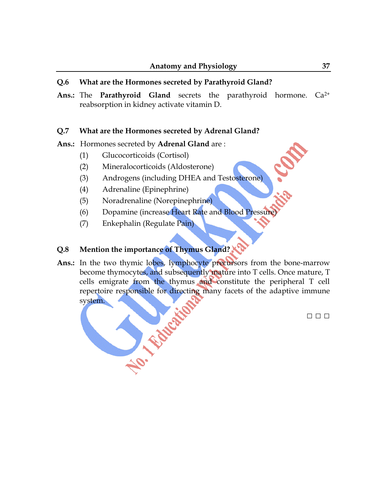### **Q.6 What are the Hormones secreted by Parathyroid Gland?**

**Ans.:** The **Parathyroid Gland** secrets the parathyroid hormone. Ca2+ reabsorption in [kidney](http://en.wikipedia.org/wiki/Kidney) activate [vitamin D.](http://en.wikipedia.org/wiki/Vitamin_D)

### **Q.7 What are the Hormones secreted by Adrenal Gland?**

### **Ans.:** Hormones secreted by **Adrenal Gland** are :

- (1) [Glucocorticoids](http://en.wikipedia.org/wiki/Glucocorticoid) ([Cortisol\)](http://en.wikipedia.org/wiki/Cortisol)
- (2) [Mineralocorticoids](http://en.wikipedia.org/wiki/Mineralocorticoid) [\(Aldosterone\)](http://en.wikipedia.org/wiki/Aldosterone)
- (3) [Androgens](http://en.wikipedia.org/wiki/Androgen) (including [DHEA](http://en.wikipedia.org/wiki/Dehydroepiandrosterone) and [Testosterone\)](http://en.wikipedia.org/wiki/Testosterone)
- (4) [Adrenaline](http://en.wikipedia.org/wiki/Adrenaline) (Epinephrine)
- (5) [Noradrenaline](http://en.wikipedia.org/wiki/Noradrenaline) (Norepinephrine)
- (6) [Dopamine](http://en.wikipedia.org/wiki/Dopamine) (increase [Heart](http://en.wikipedia.org/wiki/Heart) Rate and [Blood Pressure\)](http://en.wikipedia.org/wiki/Blood_pressure)
- (7) [Enkephalin](http://en.wikipedia.org/wiki/Enkephalin) (Regulate Pain)

# **Q.8 Mention the importance of Thymus Gland?**

Ans.: In the two thymic lobes, [lymphocyte](http://en.wikipedia.org/wiki/Lymphocyte) precursors from the bone-marrow become [thymocytes,](http://en.wikipedia.org/wiki/Thymocytes) and subsequently mature into T cells. Once mature, T cells emigrate from the thymus and constitute the peripheral T cell repertoire responsible for directing many facets of the [adaptive immune](http://en.wikipedia.org/wiki/Adaptive_immune_system)<br>system. [system.](http://en.wikipedia.org/wiki/Adaptive_immune_system)

□ □ □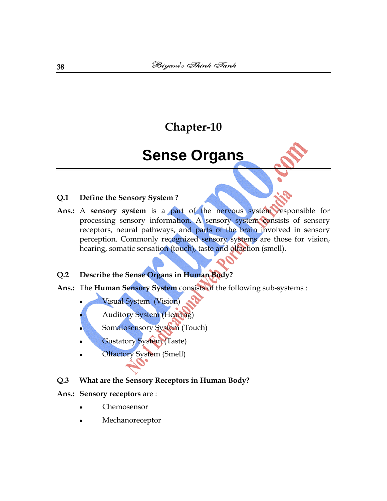# **Sense Organs**

### **Q.1 Define the Sensory System ?**

**Ans.:** A **sensory system** is a part of the [nervous system](http://en.wikipedia.org/wiki/Nervous_system) responsible for processing [sensory](http://en.wikipedia.org/wiki/Sense) information. A sensory system consists of [sensory](http://en.wikipedia.org/wiki/Sensory_receptor)  [receptors,](http://en.wikipedia.org/wiki/Sensory_receptor) [neural pathways,](http://en.wikipedia.org/wiki/Neural_pathway) and parts of the [brain](http://en.wikipedia.org/wiki/Brain) involved in sensory perception. Commonly recognized sensory systems are those for [vision,](http://en.wikipedia.org/wiki/Vision_%28sense%29) [hearing,](http://en.wikipedia.org/wiki/Hearing_%28sense%29) [somatic sensation](http://en.wikipedia.org/wiki/Somatic_sensation) (touch), [taste](http://en.wikipedia.org/wiki/Taste) and [olfaction](http://en.wikipedia.org/wiki/Olfaction) (smell).

### **Q.2 Describe the Sense Organs in Human Body?**

- **Ans.:** The **Human Sensory System** consists of the following sub-systems :
	- [Visual System](http://en.wikipedia.org/wiki/Visual_system) (Vision)
	- [Auditory System](http://en.wikipedia.org/wiki/Auditory_system) (Hearing)
	- [Somatosensory System](http://en.wikipedia.org/wiki/Somatosensory_system) (Touch)
	- [Gustatory](http://en.wikipedia.org/wiki/Gustatory) System (Taste)
	- [Olfactory](http://en.wikipedia.org/wiki/Olfaction) System (Smell)
- **Q.3 What are the [Sensory Receptors](http://en.wikipedia.org/wiki/Sensory_receptors) in Human Body?**

#### **Ans.: Sensory receptors** are :

- [Chemosensor](http://en.wikipedia.org/wiki/Chemosensor)
- [Mechanoreceptor](http://en.wikipedia.org/wiki/Mechanoreceptor)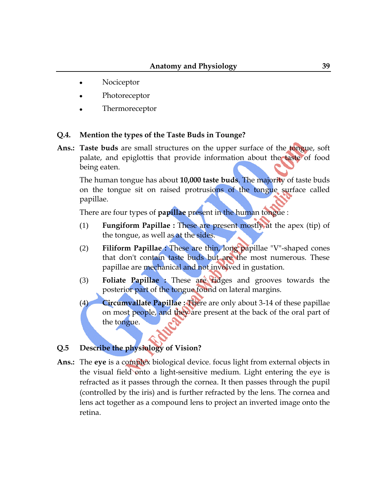- [Nociceptor](http://en.wikipedia.org/wiki/Nociceptor)  $\bullet$
- [Photoreceptor](http://en.wikipedia.org/wiki/Photoreceptor)
- [Thermoreceptor](http://en.wikipedia.org/wiki/Thermoreceptor)

### **Q.4. Mention the types of the Taste Buds in Tounge?**

**Ans.: Taste buds** are small structures on the upper surface of the [tongue,](http://en.wikipedia.org/wiki/Tongue) [soft](http://en.wikipedia.org/wiki/Soft_palate)  [palate,](http://en.wikipedia.org/wiki/Soft_palate) and [epiglottis](http://en.wikipedia.org/wiki/Epiglottis) that provide information about the [taste](http://en.wikipedia.org/wiki/Taste) of food being eaten.

The human tongue has about **10,000 taste buds**. The majority of taste buds on the tongue sit on raised protrusions of the tongue surface called papillae.

There are four types of **[papillae](http://en.wiktionary.org/wiki/Papillae)** present in the human tongue :

- (1) **[Fungiform Papillae](http://en.wikipedia.org/wiki/Fungiform_papillae) :** These are present mostly at the apex (tip) of the tongue, as well as at the sides.
- (2) **[Filiform Papillae](http://en.wikipedia.org/wiki/Filiform_papillae) :** These are thin, long papillae "V"-shaped cones that don't contain taste buds but are the most numerous. These papillae are mechanical and not involved in [gustation.](http://en.wiktionary.org/wiki/gustation)
- (3) **[Foliate Papillae](http://en.wikipedia.org/wiki/Foliate_papillae) :** These are ridges and grooves towards the posterior part of the tongue found on lateral margins.
- (4) **[Circumvallate Papillae](http://en.wikipedia.org/wiki/Circumvallate_papillae) :** There are only about 3-14 of these papillae on most people, and they are present at the back of the oral part of the tongue.

## **Q.5 Describe the physiology of Vision?**

**Ans.:** The **[eye](http://en.wikipedia.org/wiki/Eye)** is a complex biological device. focus light from external objects in the [visual field](http://en.wikipedia.org/wiki/Visual_field) onto a light-sensitive medium. Light entering the eye is [refracted](http://en.wikipedia.org/wiki/Refracted) as it passes through the [cornea.](http://en.wikipedia.org/wiki/Cornea) It then passes through the [pupil](http://en.wikipedia.org/wiki/Pupil) (controlled by the [iris\)](http://en.wikipedia.org/wiki/Iris_%28anatomy%29) and is further refracted by the [lens.](http://en.wikipedia.org/wiki/Lens_%28vision%29) The cornea and lens act together as a compound lens to project an inverted image onto the retina.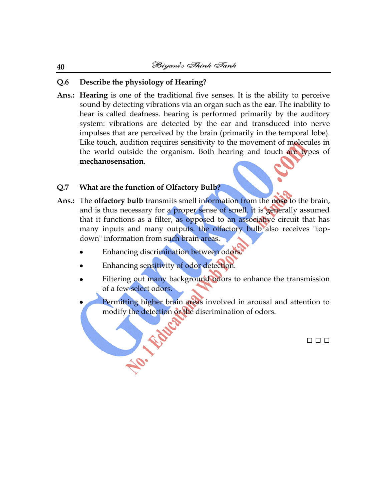# **Q.6 Describe the physiology of Hearing?**

**Ans.: Hearing** is one of the traditional five [senses.](http://en.wikipedia.org/wiki/Sense) It is the ability to perceive [sound](http://en.wikipedia.org/wiki/Sound) by detecting vibrations via an organ such as the **[ear](http://en.wikipedia.org/wiki/Ear)**. The inability to hear is called [deafness.](http://en.wikipedia.org/wiki/Deafness) hearing is performed primarily by the [auditory](http://en.wikipedia.org/wiki/Auditory_system)  [system:](http://en.wikipedia.org/wiki/Auditory_system) [vibrations](http://en.wikipedia.org/wiki/Vibration) are detected by the [ear](http://en.wikipedia.org/wiki/Ear) and transduced into nerve impulses that are perceived by the [brain](http://en.wikipedia.org/wiki/Brain) (primarily in the [temporal lobe\)](http://en.wikipedia.org/wiki/Temporal_lobe). Like [touch,](http://en.wikipedia.org/wiki/Touch) audition requires sensitivity to the movement of molecules in the world outside the organism. Both hearing and touch are types of **mechanosensation**.

# **Q.7 What are the function of Olfactory Bulb?**

- **Ans.:** The **olfactory bulb** transmits smell information from the **nose** to the brain, and is thus necessary for a proper sense of smell, it is generally assumed that it functions as a [filter,](http://en.wikipedia.org/wiki/Electronic_filter) as opposed to an associative circuit that has many inputs and many outputs. the olfactory bulb also receives "topdown" information from such brain areas.
	- Enhancing discrimination between odors.
	- Enhancing sensitivity of odor detection.

No. Fatt

- Filtering out many background odors to enhance the transmission of a few select odors.
- Permitting higher brain areas involved in arousal and attention to modify the detection or the discrimination of odors.

□ □ □

#### **40**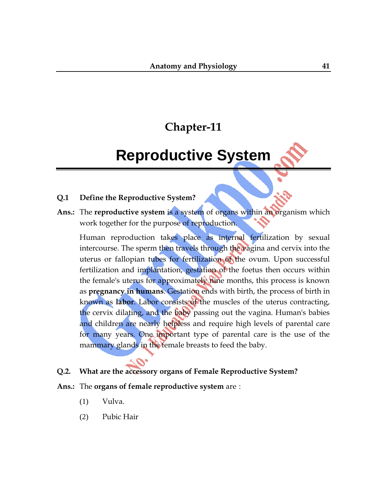# **Reproductive System**

### **Q.1 Define the Reproductive System?**

**Ans.:** The **reproductive system** is a system of [organs](http://en.wikipedia.org/wiki/Organ_%28anatomy%29) within an [organism](http://en.wikipedia.org/wiki/Organism) which work together for the purpose of [reproduction.](http://en.wikipedia.org/wiki/Reproduction)

[Human reproduction](http://en.wikipedia.org/wiki/Human_reproduction) takes place as [internal fertilization](http://en.wikipedia.org/wiki/Internal_fertilization) by [sexual](http://en.wikipedia.org/wiki/Sexual_intercourse)  [intercourse.](http://en.wikipedia.org/wiki/Sexual_intercourse) The sperm then travels through the vagina and cervix into the [uterus](http://en.wikipedia.org/wiki/Uterus) or [fallopian tubes](http://en.wikipedia.org/wiki/Fallopian_tube) for fertilization of the [ovum.](http://en.wikipedia.org/wiki/Ovum) Upon successful [fertilization](http://en.wikipedia.org/wiki/Human_fertilization) and implantation, [gestation](http://en.wikipedia.org/wiki/Gestation) of the [foetus](http://en.wikipedia.org/wiki/Foetus) then occurs within the female's uterus for approximately nine months, this process is known as **[pregnancy](http://en.wikipedia.org/wiki/Pregnancy) in humans**. Gestation ends with [birth,](http://en.wikipedia.org/wiki/Birth) the process of birth in known as **labor**. Labor consists of the [muscles](http://en.wikipedia.org/wiki/Muscle) of the uterus contracting, the cervix [dilating,](http://en.wikipedia.org/wiki/Dilate) and the baby passing out the vagina. Human's babies and children are nearly helpless and require high levels of [parental care](http://en.wikipedia.org/wiki/Parental_care) for many years. One important type of parental care is the use of the [mammary glands](http://en.wikipedia.org/wiki/Mammary_gland) in the female [breasts](http://en.wikipedia.org/wiki/Breast) to feed the baby.

### **Q.2. What are the accessory organs of Female Reproductive System?**

- **Ans.:** The **organs of female reproductive system** are :
	- (1) [Vulva.](http://en.wikipedia.org/wiki/Vulva)
	- (2) [Pubic Hair](http://en.wikipedia.org/wiki/Pubic_hair)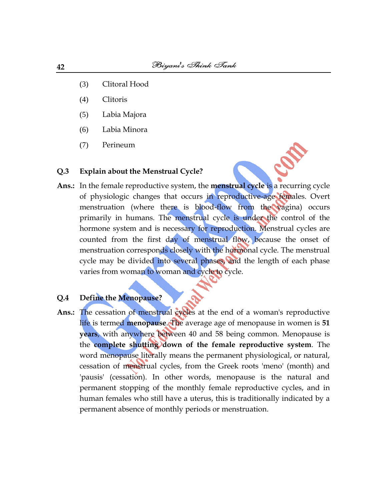- (3) [Clitoral Hood](http://en.wikipedia.org/wiki/Clitoral_hood)
- (4) [Clitoris](http://en.wikipedia.org/wiki/Clitoris)
- (5) [Labia Majora](http://en.wikipedia.org/wiki/Labia_majora)
- (6) [Labia Minora](http://en.wikipedia.org/wiki/Labia_minora)
- (7) [Perineum](http://en.wikipedia.org/wiki/Perineum)

## **Q.3 Explain about the Menstrual Cycle?**

**Ans.:** In the [female reproductive system,](http://en.wikipedia.org/wiki/Female_reproductive_system) the **menstrual cycle** is a recurring cycle of [physiologic](http://en.wikipedia.org/wiki/Physiology) changes that occurs in reproductive-age [females.](http://en.wikipedia.org/wiki/Female) Overt menstruation (where there is blood-flow from the [vagina\)](http://en.wikipedia.org/wiki/Vagina) occurs primarily in humans. The menstrual cycle is under the control of the [hormone](http://en.wikipedia.org/wiki/Hormone) system and is necessary for [reproduction.](http://en.wikipedia.org/wiki/Reproduction) Menstrual cycles are counted from the first day of menstrual flow, because the onset of menstruation corresponds closely with the hormonal cycle. The menstrual cycle may be divided into several phases, and the length of each phase varies from woman to woman and cycle to cycle.

### **Q.4 Define the Menopause?**

Ans.: The cessation of menstrual cycles at the end of a woman's reproductive life is termed **[menopause](http://en.wikipedia.org/wiki/Menopause)**. The average age of menopause in women is **51 years**, with anywhere between 40 and 58 being common. Menopause is the **complete shutting down of the female [reproductive system](http://en.wikipedia.org/wiki/Reproductive_system)**. The word menopause literally means the permanent physiological, or natural, cessation of [menstrual cycles,](http://en.wikipedia.org/wiki/Menstrual_cycle) from the Greek roots 'meno' (month) and 'pausis' (cessation). In other words, menopause is the natural and permanent stopping of the monthly female [reproductive](http://en.wikipedia.org/wiki/Reproductive) cycles, and in human females who still have a uterus, this is traditionally indicated by a permanent absence of monthly periods or [menstruation.](http://en.wikipedia.org/wiki/Menstruation)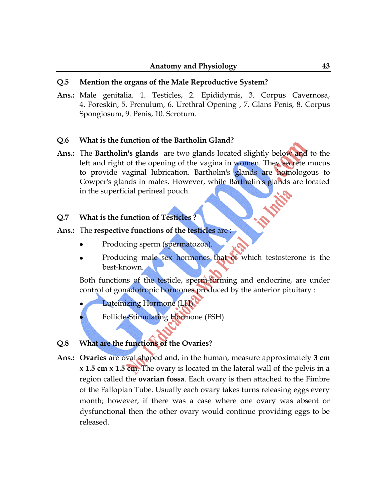### **Q.5 Mention the organs of the Male Reproductive System?**

**Ans.:** Male genitalia. 1. [Testicles,](http://en.wikipedia.org/wiki/Testicles) 2. [Epididymis,](http://en.wikipedia.org/wiki/Epididymis) 3. [Corpus Cavernosa,](http://en.wikipedia.org/wiki/Corpus_cavernosa) 4. [Foreskin,](http://en.wikipedia.org/wiki/Foreskin) 5. [Frenulum,](http://en.wikipedia.org/wiki/Frenulum_of_prepuce_of_penis) 6. [Urethral Opening](http://en.wikipedia.org/wiki/Urethra) , 7. [Glans Penis,](http://en.wikipedia.org/wiki/Glans_penis) 8. [Corpus](http://en.wikipedia.org/wiki/Corpus_spongiosum)  [Spongiosum,](http://en.wikipedia.org/wiki/Corpus_spongiosum) 9. [Penis,](http://en.wikipedia.org/wiki/Penis) 10. [Scrotum.](http://en.wikipedia.org/wiki/Scrotum)

### **Q.6 What is the function of the Bartholin Gland?**

**Ans.:** The **Bartholin's glands** are two [glands](http://en.wikipedia.org/wiki/Gland) located slightly below and to the left and right of the opening of the [vagina](http://en.wikipedia.org/wiki/Vagina) in women. They secrete [mucus](http://en.wikipedia.org/wiki/Mucus) to provide [vaginal lubrication.](http://en.wikipedia.org/wiki/Vaginal_lubrication) Bartholin's glands are [homologous](http://en.wikipedia.org/wiki/Homology_%28biology%29) to [Cowper's glands](http://en.wikipedia.org/wiki/Cowper%27s_gland) in males. However, while Bartholin's glands are located in the [superficial perineal pouch.](http://en.wikipedia.org/wiki/Superficial_perineal_pouch)

### **Q.7 What is the function of Testicles ?**

### **Ans.:** The **respective functions of the testicles** are :

- Producing [sperm](http://en.wikipedia.org/wiki/Spermatozoon) (spermatozoa).
- Producing male [sex](http://en.wikipedia.org/wiki/Sex) [hormones](http://en.wikipedia.org/wiki/Hormone) that of which [testosterone](http://en.wikipedia.org/wiki/Testosterone) is the best-known.

Both functions of the testicle, sperm-forming and endocrine, are under control of gonadotropic hormones produced by the anterior [pituitary](http://en.wikipedia.org/wiki/Pituitary) :

[Luteinizing Hormone](http://en.wikipedia.org/wiki/Luteinizing_hormone) (LH)

[Follicle-Stimulating Hormone](http://en.wikipedia.org/wiki/Follicle-stimulating_hormone) (FSH)

## **Q.8 What are the functions of the Ovaries?**

**Ans.: Ovaries** are oval shaped and, in the human, measure approximately **3 cm x 1.5 cm x 1.5 cm**. The ovary is located in the lateral wall of the pelvis in a region called the **[ovarian fossa](http://en.wikipedia.org/wiki/Ovarian_fossa)**. Each ovary is then attached to the Fimbre of the Fallopian Tube. Usually each ovary takes turns releasing eggs every month; however, if there was a case where one ovary was absent or dysfunctional then the other ovary would continue providing eggs to be released.